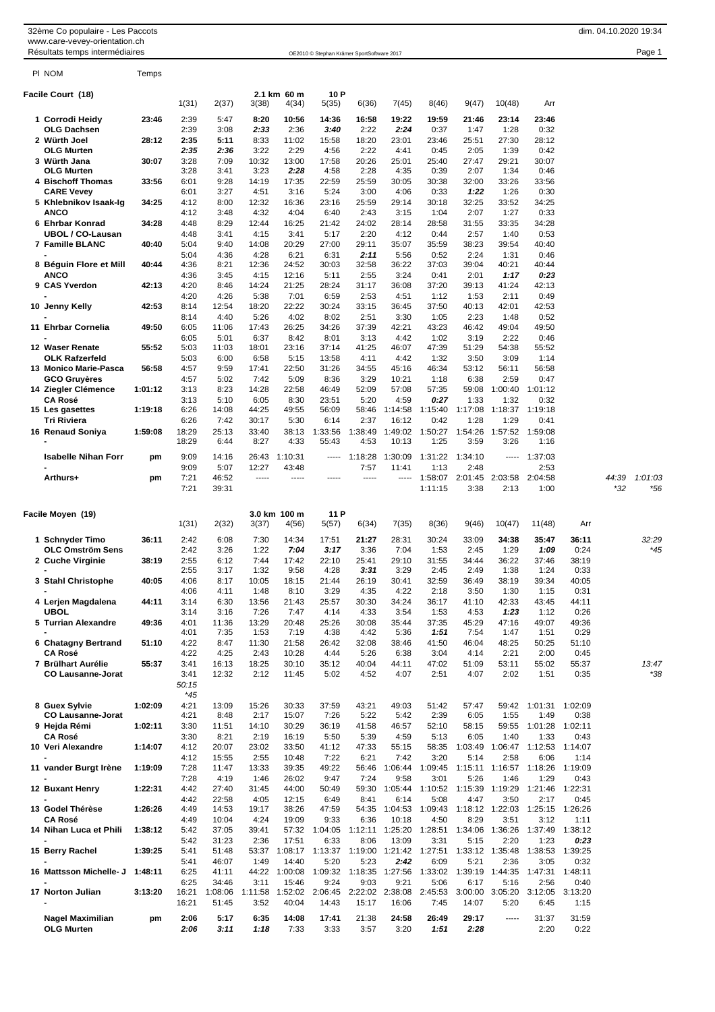## 32ème Co populaire - Les Paccots dim. 04.10.2020 19:34 www.care-vevey-orientation.ch

Résultats temps intermédiaires results and the comparison of the comparison of the comparison of the comparison of the comparison of the comparison of the comparison of the comparison of the comparison of the comparison of

| PI NOM                                     | Temps   |                |                  |                 |                        |                  |                 |                                 |                                                         |                 |                         |                         |                 |       |              |
|--------------------------------------------|---------|----------------|------------------|-----------------|------------------------|------------------|-----------------|---------------------------------|---------------------------------------------------------|-----------------|-------------------------|-------------------------|-----------------|-------|--------------|
|                                            |         |                |                  |                 |                        |                  |                 |                                 |                                                         |                 |                         |                         |                 |       |              |
| Facile Court (18)                          |         | 1(31)          | 2(37)            | 3(38)           | 2.1 km 60 m<br>4(34)   | 10 P<br>5(35)    | 6(36)           | 7(45)                           | 8(46)                                                   | 9(47)           | 10(48)                  | Arr                     |                 |       |              |
| 1 Corrodi Heidy<br>OLG Dachsen             | 23:46   | 2:39<br>2:39   | 5:47<br>3:08     | 8:20<br>2:33    | 10:56<br>2:36          | 14:36<br>3:40    | 16:58<br>2:22   | 19:22<br>2:24                   | 19:59<br>0:37                                           | 21:46<br>1:47   | 23:14<br>1:28           | 23:46<br>0:32           |                 |       |              |
| 2 Würth Joel<br>OLG Murten                 | 28:12   | 2:35<br>2:35   | 5:11<br>2:36     | 8:33<br>3:22    | 11:02<br>2:29          | 15:58<br>4:56    | 18:20<br>2:22   | 23:01<br>4:41                   | 23:46<br>0:45                                           | 25:51<br>2:05   | 27:30<br>1:39           | 28:12<br>0:42           |                 |       |              |
| 3 Würth Jana                               | 30:07   | 3:28           | 7:09             | 10:32           | 13:00                  | 17:58            | 20:26           | 25:01                           | 25:40                                                   | 27:47           | 29:21                   | 30:07                   |                 |       |              |
| OLG Murten<br>4 Bischoff Thomas            | 33:56   | 3:28<br>6:01   | 3:41<br>9:28     | 3:23<br>14:19   | 2:28<br>17:35          | 4:58<br>22:59    | 2:28<br>25:59   | 4:35<br>30:05                   | 0:39<br>30:38                                           | 2:07<br>32:00   | 1:34<br>33:26           | 0:46<br>33:56           |                 |       |              |
| <b>CARE Vevey</b><br>5 Khlebnikov Isaak-Ig | 34:25   | 6:01<br>4:12   | 3:27<br>8:00     | 4:51<br>12:32   | 3:16<br>16:36          | 5:24<br>23:16    | 3:00<br>25:59   | 4:06<br>29:14                   | 0:33<br>30:18                                           | 1:22<br>32:25   | 1:26<br>33:52           | 0:30<br>34:25           |                 |       |              |
| ANCO                                       |         | 4:12           | 3:48             | 4:32            | 4:04                   | 6:40             | 2:43            | 3:15                            | 1:04                                                    | 2:07            | 1:27                    | 0:33                    |                 |       |              |
| 6 Ehrbar Konrad<br>UBOL / CO-Lausan        | 34:28   | 4:48<br>4:48   | 8:29<br>3:41     | 12:44<br>4:15   | 16:25<br>3:41          | 21:42<br>5:17    | 24:02<br>2:20   | 28:14<br>4:12                   | 28:58<br>0:44                                           | 31:55<br>2:57   | 33:35<br>1:40           | 34:28<br>0:53           |                 |       |              |
| 7 Famille BLANC                            | 40:40   | 5:04           | 9:40             | 14:08           | 20:29                  | 27:00            | 29:11           | 35:07                           | 35:59                                                   | 38:23           | 39:54                   | 40:40                   |                 |       |              |
| 8 Béguin Flore et Mill                     | 40:44   | 5:04<br>4:36   | 4:36<br>8:21     | 4:28<br>12:36   | 6:21<br>24:52          | 6:31<br>30:03    | 2:11<br>32:58   | 5:56<br>36:22                   | 0:52<br>37:03                                           | 2:24<br>39:04   | 1:31<br>40:21           | 0:46<br>40:44           |                 |       |              |
| <b>ANCO</b>                                |         | 4:36           | 3:45             | 4:15            | 12:16                  | 5:11             | 2:55            | 3:24                            | 0:41                                                    | 2:01            | 1:17                    | 0:23                    |                 |       |              |
| 9 CAS Yverdon                              | 42:13   | 4:20<br>4:20   | 8:46<br>4:26     | 14:24<br>5:38   | 21:25<br>7:01          | 28:24<br>6:59    | 31:17<br>2:53   | 36:08<br>4:51                   | 37:20<br>1:12                                           | 39:13<br>1:53   | 41:24<br>2:11           | 42:13<br>0:49           |                 |       |              |
| 10 Jenny Kelly                             | 42:53   | 8:14           | 12:54            | 18:20           | 22:22                  | 30:24            | 33:15           | 36:45                           | 37:50                                                   | 40:13           | 42:01                   | 42:53                   |                 |       |              |
| 11 Ehrbar Cornelia                         | 49:50   | 8:14<br>6:05   | 4:40<br>11:06    | 5:26<br>17:43   | 4:02<br>26:25          | 8:02<br>34:26    | 2:51<br>37:39   | 3:30<br>42:21                   | 1:05<br>43:23                                           | 2:23<br>46:42   | 1:48<br>49:04           | 0:52<br>49:50           |                 |       |              |
|                                            |         | 6:05           | 5:01             | 6:37            | 8:42                   | 8:01             | 3:13            | 4:42                            | 1:02                                                    | 3:19            | 2:22                    | 0:46                    |                 |       |              |
| 12 Waser Renate<br>OLK Rafzerfeld          | 55:52   | 5:03<br>5:03   | 11:03<br>6:00    | 18:01<br>6:58   | 23:16<br>5:15          | 37:14<br>13:58   | 41:25<br>4:11   | 46:07<br>4:42                   | 47:39<br>1:32                                           | 51:29<br>3:50   | 54:38<br>3:09           | 55:52<br>1:14           |                 |       |              |
| 13 Monico Marie-Pasca                      | 56:58   | 4:57           | 9:59             | 17:41           | 22:50                  | 31:26            | 34:55           | 45:16                           | 46:34                                                   | 53:12           | 56:11                   | 56:58                   |                 |       |              |
| GCO Gruyères<br>14 Ziegler Clémence        | 1:01:12 | 4:57<br>3:13   | 5:02<br>8:23     | 7:42<br>14:28   | 5:09<br>22:58          | 8:36<br>46:49    | 3:29<br>52:09   | 10:21<br>57:08                  | 1:18<br>57:35                                           | 6:38<br>59:08   | 2:59<br>1:00:40         | 0:47<br>1:01:12         |                 |       |              |
| CA Rosé<br>15 Les gasettes                 | 1:19:18 | 3:13<br>6:26   | 5:10<br>14:08    | 6:05<br>44:25   | 8:30<br>49:55          | 23:51<br>56:09   | 5:20<br>58:46   | 4:59<br>1:14:58                 | 0:27<br>1:15:40                                         | 1:33<br>1:17:08 | 1:32<br>1:18:37         | 0:32<br>1:19:18         |                 |       |              |
| Tri Riviera                                |         | 6:26           | 7:42             | 30:17           | 5:30                   | 6:14             | 2:37            | 16:12                           | 0:42                                                    | 1:28            | 1:29                    | 0:41                    |                 |       |              |
| 16 Renaud Soniya                           | 1:59:08 | 18:29<br>18:29 | 25:13<br>6:44    | 33:40<br>8:27   | 38:13<br>4:33          | 1:33:56<br>55:43 | 1:38:49<br>4:53 | 1:49:02<br>10:13                | 1:50:27<br>1:25                                         | 1:54:26<br>3:59 | 1:57:52<br>3:26         | 1:59:08<br>1:16         |                 |       |              |
| <b>Isabelle Nihan Forr</b>                 | pm      | 9:09           | 14:16            | 26:43           | 1:10:31                | -----            | 1:18:28         | 1:30:09                         | 1:31:22                                                 | 1:34:10         | -----                   | 1:37:03                 |                 |       |              |
| Arthurs+                                   | pm      | 9:09<br>7:21   | 5:07<br>46:52    | 12:27<br>-----  | 43:48<br>-----         | -----            | 7:57<br>-----   | 11:41<br>-----                  | 1:13<br>1:58:07                                         | 2:48<br>2:01:45 | 2:03:58                 | 2:53<br>2:04:58         |                 | 44:39 | 1:01:03      |
|                                            |         | 7:21           | 39:31            |                 |                        |                  |                 |                                 | 1:11:15                                                 | 3:38            | 2:13                    | 1:00                    |                 | *32   | *56          |
| Facile Moyen (19)                          |         |                |                  |                 | 3.0 km 100 m           | 11 P             |                 |                                 |                                                         |                 |                         |                         |                 |       |              |
|                                            |         | 1(31)          | 2(32)            | 3(37)           | 4(56)                  | 5(57)            | 6(34)           | 7(35)                           | 8(36)                                                   | 9(46)           | 10(47)                  | 11(48)                  | Arr             |       |              |
| 1 Schnyder Timo<br>OLC Omström Sens        | 36:11   | 2:42<br>2:42   | 6:08<br>3:26     | 7:30<br>1:22    | 14:34<br>7:04          | 17:51<br>3:17    | 21:27<br>3:36   | 28:31<br>7:04                   | 30:24<br>1:53                                           | 33:09<br>2:45   | 34:38<br>1:29           | 35:47<br>1:09           | 36:11<br>0:24   |       | 32:29<br>*45 |
| 2 Cuche Virginie                           | 38:19   | 2:55           | 6:12             | 7:44            | 17:42                  | 22:10            | 25:41           | 29:10                           | 31:55                                                   | 34:44           | 36:22                   | 37:46                   | 38:19           |       |              |
| 3 Stahl Christophe                         | 40:05   | 2:55<br>4:06   | 3:17<br>8:17     | 1:32<br>10:05   | 9:58<br>18:15          | 4:28<br>21:44    | 3:31<br>26:19   | 3:29<br>30:41                   | 2:45<br>32:59                                           | 2:49<br>36:49   | 1:38<br>38:19           | 1:24<br>39:34           | 0:33<br>40:05   |       |              |
|                                            |         | 4:06           | 4:11             | 1:48            | 8:10                   | 3:29             | 4:35            | 4:22                            | 2:18                                                    | 3:50            | 1:30                    | 1:15                    | 0:31            |       |              |
| 4 Lerjen Magdalena<br><b>UBOL</b>          | 44:11   | 3:14<br>3:14   | 6:30<br>3:16     | 13:56<br>7:26   | 21:43<br>7:47          | 25:57<br>4:14    | 30:30<br>4:33   | 34:24<br>3:54                   | 36:17<br>1:53                                           | 41:10<br>4:53   | 42:33<br>1:23           | 43:45<br>1:12           | 44:11<br>0:26   |       |              |
| 5 Turrian Alexandre                        | 49:36   | 4:01           | 11:36            | 13:29           | 20:48                  | 25:26            | 30:08           | 35:44                           | 37:35                                                   | 45:29           | 47:16                   | 49:07                   | 49:36           |       |              |
| <b>6 Chatagny Bertrand</b>                 | 51:10   | 4:01<br>4:22   | 7:35<br>8:47     | 1:53<br>11:30   | 7:19<br>21:58          | 4:38<br>26:42    | 4:42<br>32:08   | 5:36<br>38:46                   | 1:51<br>41:50                                           | 7:54<br>46:04   | 1:47<br>48:25           | 1:51<br>50:25           | 0:29<br>51:10   |       |              |
| <b>CA Rosé</b><br>7 Brülhart Aurélie       | 55:37   | 4:22<br>3:41   | 4:25<br>16:13    | 2:43<br>18:25   | 10:28<br>30:10         | 4:44<br>35:12    | 5:26<br>40:04   | 6:38<br>44:11                   | 3:04<br>47:02                                           | 4:14<br>51:09   | 2:21<br>53:11           | 2:00<br>55:02           | 0:45<br>55:37   |       | 13:47        |
| <b>CO Lausanne-Jorat</b>                   |         | 3:41           | 12:32            | 2:12            | 11:45                  | 5:02             | 4:52            | 4:07                            | 2:51                                                    | 4:07            | 2:02                    | 1:51                    | 0:35            |       | *38          |
|                                            |         | 50:15<br>$*45$ |                  |                 |                        |                  |                 |                                 |                                                         |                 |                         |                         |                 |       |              |
| 8 Guex Sylvie                              | 1:02:09 | 4:21           | 13:09            | 15:26           | 30:33                  | 37:59            | 43:21           | 49:03                           | 51:42                                                   | 57:47           | 59:42                   | 1:01:31 1:02:09         |                 |       |              |
| <b>CO Lausanne-Jorat</b><br>9 Hejda Rémi   | 1:02:11 | 4:21<br>3:30   | 8:48<br>11:51    | 2:17<br>14:10   | 15:07<br>30:29         | 7:26<br>36:19    | 5:22<br>41:58   | 5:42<br>46:57                   | 2:39<br>52:10                                           | 6:05<br>58:15   | 1:55<br>59:55           | 1:49<br>1:01:28         | 0:38<br>1:02:11 |       |              |
| <b>CA Rosé</b><br>10 Veri Alexandre        | 1:14:07 | 3:30<br>4:12   | 8:21<br>20:07    | 2:19<br>23:02   | 16:19<br>33:50         | 5:50<br>41:12    | 5:39<br>47:33   | 4:59                            | 5:13<br>58:35                                           | 6:05            | 1:40                    | 1:33<br>1:12:53         | 0:43<br>1:14:07 |       |              |
|                                            |         | 4:12           | 15:55            | 2:55            | 10:48                  | 7:22             | 6:21            | 55:15<br>7:42                   | 3:20                                                    | 1:03:49<br>5:14 | 1:06:47<br>2:58         | 6:06                    | 1:14            |       |              |
| 11 vander Burgt Irène                      | 1:19:09 | 7:28<br>7:28   | 11:47<br>4:19    | 13:33<br>1:46   | 39:35<br>26:02         | 49:22<br>9:47    | 56:46<br>7:24   | 1:06:44<br>9:58                 | 1:09:45<br>3:01                                         | 1:15:11<br>5:26 | 1:16:57<br>1:46         | 1:18:26<br>1:29         | 1:19:09<br>0:43 |       |              |
| 12 Buxant Henry                            | 1:22:31 | 4:42           | 27:40            | 31:45           | 44:00                  | 50:49            | 59:30           | 1:05:44                         | 1:10:52                                                 | 1:15:39         | 1:19:29                 | 1:21:46                 | 1:22:31         |       |              |
| 13 Godel Thérèse                           | 1:26:26 | 4:42<br>4:49   | 22:58<br>14:53   | 4:05<br>19:17   | 12:15<br>38:26         | 6:49<br>47:59    | 8:41<br>54:35   | 6:14<br>1:04:53                 | 5:08<br>1:09:43                                         | 4:47            | 3:50<br>1:18:12 1:22:03 | 2:17<br>1:25:15         | 0:45<br>1:26:26 |       |              |
| <b>CA Rosé</b>                             |         | 4:49           | 10:04            | 4:24            | 19:09                  | 9:33             | 6:36            | 10:18                           | 4:50                                                    | 8:29            | 3:51                    | 3:12                    | 1:11            |       |              |
| 14 Nihan Luca et Phili                     | 1:38:12 | 5:42<br>5:42   | 37:05<br>31:23   | 39:41<br>2:36   | 57:32<br>17:51         | 1:04:05<br>6:33  | 1:12:11<br>8:06 | 1:25:20<br>13:09                | 1:28:51<br>3:31                                         | 1:34:06<br>5:15 | 1:36:26<br>2:20         | 1:37:49<br>1:23         | 1:38:12<br>0:23 |       |              |
| 15 Berry Rachel                            | 1:39:25 | 5:41           | 51:48            | 53:37           |                        | 1:08:17 1:13:37  |                 | 1:19:00 1:21:42 1:27:51         |                                                         |                 | 1:33:12 1:35:48         | 1:38:53                 | 1:39:25         |       |              |
| 16 Mattsson Michelle- J                    | 1:48:11 | 5:41<br>6:25   | 46:07<br>41:11   | 1:49            | 14:40<br>44:22 1:00:08 | 5:20             | 5:23            | 2:42                            | 6:09<br>1:09:32 1:18:35 1:27:56 1:33:02 1:39:19 1:44:35 | 5:21            | 2:36                    | 3:05<br>1:47:31 1:48:11 | 0:32            |       |              |
| 17 Norton Julian                           | 3:13:20 | 6:25<br>16:21  | 34:46<br>1:08:06 | 3:11<br>1:11:58 | 15:46<br>1:52:02       | 9:24<br>2:06:45  | 9:03            | 9:21<br>2:22:02 2:38:08 2:45:53 | 5:06                                                    | 6:17<br>3:00:00 | 5:16<br>3:05:20         | 2:56<br>3:12:05 3:13:20 | 0:40            |       |              |
|                                            |         | 16:21          | 51:45            | 3:52            | 40:04                  | 14:43            | 15:17           | 16:06                           | 7:45                                                    | 14:07           | 5:20                    | 6:45                    | 1:15            |       |              |
| Nagel Maximilian<br><b>OLG Murten</b>      | pm      | 2:06<br>2:06   | 5:17<br>3:11     | 6:35<br>1:18    | 14:08<br>7:33          | 17:41<br>3:33    | 21:38<br>3:57   | 24:58<br>3:20                   | 26:49<br>1:51                                           | 29:17<br>2:28   | -----                   | 31:37<br>2:20           | 31:59<br>0:22   |       |              |
|                                            |         |                |                  |                 |                        |                  |                 |                                 |                                                         |                 |                         |                         |                 |       |              |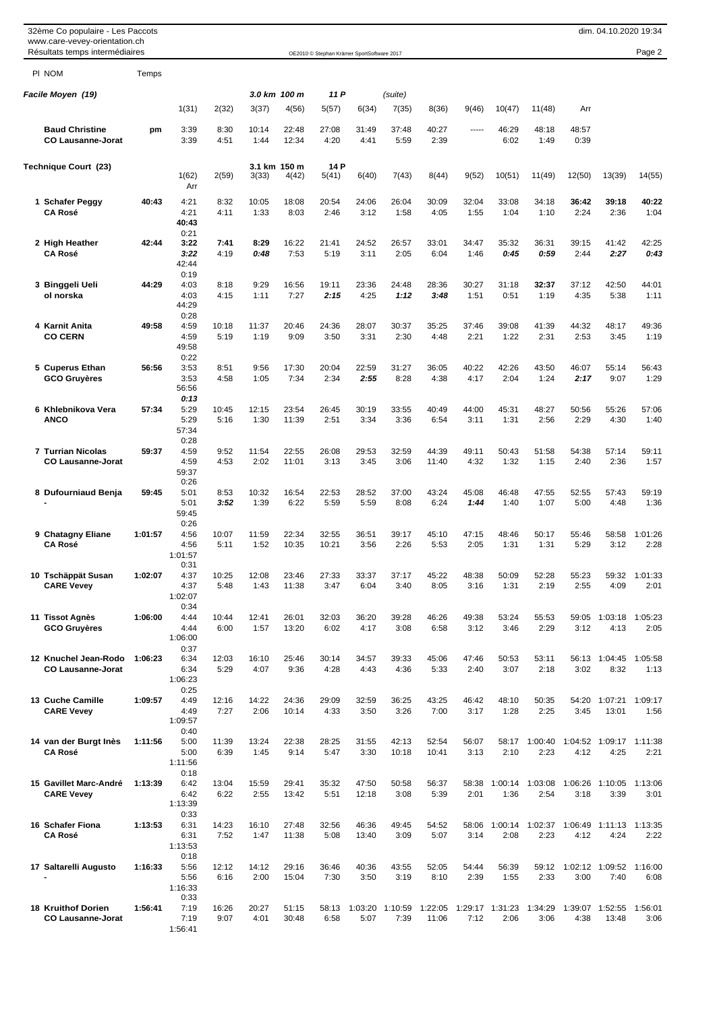| 32ème Co populaire - Les Paccots<br>www.care-vevey-orientation.ch |         |                               |               |               |                |                                            |                 |                 |                  |               |                         |                 |                         | dim. 04.10.2020 19:34 |                 |
|-------------------------------------------------------------------|---------|-------------------------------|---------------|---------------|----------------|--------------------------------------------|-----------------|-----------------|------------------|---------------|-------------------------|-----------------|-------------------------|-----------------------|-----------------|
| Résultats temps intermédiaires                                    |         |                               |               |               |                | OE2010 @ Stephan Krämer SportSoftware 2017 |                 |                 |                  |               |                         |                 |                         |                       | Page 2          |
| PI NOM                                                            | Temps   |                               |               |               |                |                                            |                 |                 |                  |               |                         |                 |                         |                       |                 |
| Facile Moyen (19)                                                 |         |                               |               | 3.0 km 100 m  |                | 11 P                                       |                 | (suite)         |                  |               |                         |                 |                         |                       |                 |
|                                                                   |         | 1(31)                         | 2(32)         | 3(37)         | 4(56)          | 5(57)                                      | 6(34)           | 7(35)           | 8(36)            | 9(46)         | 10(47)                  | 11(48)          | Arr                     |                       |                 |
| <b>Baud Christine</b><br><b>CO Lausanne-Jorat</b>                 | pm      | 3:39<br>3:39                  | 8:30<br>4:51  | 10:14<br>1:44 | 22:48<br>12:34 | 27:08<br>4:20                              | 31:49<br>4:41   | 37:48<br>5:59   | 40:27<br>2:39    |               | 46:29<br>6:02           | 48:18<br>1:49   | 48:57<br>0:39           |                       |                 |
| <b>Technique Court (23)</b>                                       |         |                               |               | 3.1 km 150 m  |                | 14 P                                       |                 |                 |                  |               |                         |                 |                         |                       |                 |
|                                                                   |         | 1(62)<br>Arr                  | 2(59)         | 3(33)         | 4(42)          | 5(41)                                      | 6(40)           | 7(43)           | 8(44)            | 9(52)         | 10(51)                  | 11(49)          | 12(50)                  | 13(39)                | 14(55)          |
| 1 Schafer Peggy<br><b>CA Rosé</b>                                 | 40:43   | 4:21<br>4:21<br>40:43<br>0:21 | 8:32<br>4:11  | 10:05<br>1:33 | 18:08<br>8:03  | 20:54<br>2:46                              | 24:06<br>3:12   | 26:04<br>1:58   | 30:09<br>4:05    | 32:04<br>1:55 | 33:08<br>1:04           | 34:18<br>1:10   | 36:42<br>2:24           | 39:18<br>2:36         | 40:22<br>1:04   |
| 2 High Heather                                                    | 42:44   | 3:22                          | 7:41          | 8:29          | 16:22          | 21:41                                      | 24:52           | 26:57           | 33:01            | 34:47         | 35:32                   | 36:31           | 39:15                   | 41:42                 | 42:25           |
| <b>CA Rosé</b>                                                    |         | 3:22<br>42:44<br>0:19         | 4:19          | 0:48          | 7:53           | 5:19                                       | 3:11            | 2:05            | 6:04             | 1:46          | 0:45                    | 0:59            | 2:44                    | 2:27                  | 0:43            |
| 3 Binggeli Ueli                                                   | 44:29   | 4:03                          | 8:18          | 9:29          | 16:56          | 19:11                                      | 23:36           | 24:48           | 28:36            | 30:27         | 31:18                   | 32:37           | 37:12                   | 42:50                 | 44:01           |
| ol norska                                                         |         | 4:03<br>44:29<br>0:28         | 4:15          | 1:11          | 7:27           | 2:15                                       | 4:25            | 1:12            | 3:48             | 1:51          | 0:51                    | 1:19            | 4:35                    | 5:38                  | 1:11            |
| 4 Karnit Anita                                                    | 49:58   | 4:59                          | 10:18         | 11:37         | 20:46          | 24:36                                      | 28:07           | 30:37           | 35:25            | 37:46         | 39:08                   | 41:39           | 44:32                   | 48:17                 | 49:36           |
| <b>CO CERN</b>                                                    |         | 4:59<br>49:58<br>0:22         | 5:19          | 1:19          | 9:09           | 3:50                                       | 3:31            | 2:30            | 4:48             | 2:21          | 1:22                    | 2:31            | 2:53                    | 3:45                  | 1:19            |
| 5 Cuperus Ethan                                                   | 56:56   | 3:53                          | 8:51          | 9:56          | 17:30          | 20:04                                      | 22:59           | 31:27           | 36:05            | 40:22         | 42:26                   | 43:50           | 46:07                   | 55:14                 | 56:43           |
| <b>GCO Gruyères</b>                                               |         | 3:53<br>56:56<br>0:13         | 4:58          | 1:05          | 7:34           | 2:34                                       | 2:55            | 8:28            | 4:38             | 4:17          | 2:04                    | 1:24            | 2:17                    | 9:07                  | 1:29            |
| 6 Khlebnikova Vera<br><b>ANCO</b>                                 | 57:34   | 5:29<br>5:29                  | 10:45<br>5:16 | 12:15<br>1:30 | 23:54<br>11:39 | 26:45<br>2:51                              | 30:19<br>3:34   | 33:55<br>3:36   | 40:49<br>6:54    | 44:00<br>3:11 | 45:31<br>1:31           | 48:27<br>2:56   | 50:56<br>2:29           | 55:26<br>4:30         | 57:06<br>1:40   |
|                                                                   |         | 57:34<br>0:28                 |               |               |                |                                            |                 |                 |                  |               |                         |                 |                         |                       |                 |
| 7 Turrian Nicolas<br><b>CO Lausanne-Jorat</b>                     | 59:37   | 4:59<br>4:59<br>59:37         | 9:52<br>4:53  | 11:54<br>2:02 | 22:55<br>11:01 | 26:08<br>3:13                              | 29:53<br>3:45   | 32:59<br>3:06   | 44:39<br>11:40   | 49:11<br>4:32 | 50:43<br>1:32           | 51:58<br>1:15   | 54:38<br>2:40           | 57:14<br>2:36         | 59:11<br>1:57   |
| 8 Dufourniaud Benja                                               | 59:45   | 0:26<br>5:01                  | 8:53          | 10:32         | 16:54          | 22:53                                      | 28:52           | 37:00           | 43:24            | 45:08         | 46:48                   | 47:55           | 52:55                   | 57:43                 | 59:19           |
|                                                                   |         | 5:01<br>59:45<br>0:26         | 3:52          | 1:39          | 6:22           | 5:59                                       | 5:59            | 8:08            | 6:24             | 1:44          | 1:40                    | 1:07            | 5:00                    | 4:48                  | 1:36            |
| 9 Chatagny Eliane                                                 | 1:01:57 | 4:56                          | 10:07         | 11:59         | 22:34          | 32:55                                      | 36:51           | 39:17           | 45:10            | 47:15         | 48:46                   | 50:17           | 55:46                   | 58:58                 | 1:01:26         |
| <b>CA Rosé</b>                                                    |         | 4:56<br>1:01:57<br>0:31       | 5:11          | 1:52          | 10:35          | 10:21                                      | 3:56            | 2:26            | 5:53             | 2:05          | 1:31                    | 1:31            | 5:29                    | 3:12                  | 2:28            |
| 10 Tschäppät Susan                                                | 1:02:07 | 4:37                          | 10:25         | 12:08         | 23:46          | 27:33                                      | 33:37           | 37:17           | 45:22            | 48:38         | 50:09                   | 52:28           | 55:23                   | 59:32                 | 1:01:33         |
| <b>CARE Vevey</b>                                                 |         | 4:37<br>1:02:07<br>0:34       | 5:48          | 1:43          | 11:38          | 3:47                                       | 6:04            | 3:40            | 8:05             | 3:16          | 1:31                    | 2:19            | 2:55                    | 4:09                  | 2:01            |
| 11 Tissot Agnès                                                   | 1:06:00 | 4:44                          | 10:44         | 12:41         | 26:01          | 32:03                                      | 36:20           | 39:28           | 46:26            | 49:38         | 53:24                   | 55:53           | 59:05                   | 1:03:18               | 1:05:23         |
| <b>GCO Gruyères</b>                                               |         | 4:44<br>1:06:00               | 6:00          | 1:57          | 13:20          | 6:02                                       | 4:17            | 3:08            | 6:58             | 3:12          | 3:46                    | 2:29            | 3:12                    | 4:13                  | 2:05            |
| 12 Knuchel Jean-Rodo                                              | 1:06:23 | 0:37<br>6:34                  | 12:03         | 16:10         | 25:46          | 30:14                                      | 34:57           | 39:33           | 45:06            | 47:46         | 50:53                   | 53:11           |                         | 56:13 1:04:45         | 1:05:58         |
| <b>CO Lausanne-Jorat</b>                                          |         | 6:34<br>1:06:23               | 5:29          | 4:07          | 9:36           | 4:28                                       | 4:43            | 4:36            | 5:33             | 2:40          | 3:07                    | 2:18            | 3:02                    | 8:32                  | 1:13            |
| 13 Cuche Camille                                                  | 1:09:57 | 0:25<br>4:49                  | 12:16         | 14:22         | 24:36          | 29:09                                      | 32:59           | 36:25           | 43:25            | 46:42         | 48:10                   | 50:35           | 54:20                   | 1:07:21               | 1:09:17         |
| <b>CARE Vevey</b>                                                 |         | 4:49<br>1:09:57               | 7:27          | 2:06          | 10:14          | 4:33                                       | 3:50            | 3:26            | 7:00             | 3:17          | 1:28                    | 2:25            | 3:45                    | 13:01                 | 1:56            |
| 14 van der Burgt Inès                                             | 1:11:56 | 0:40<br>5:00                  | 11:39         | 13:24         | 22:38          | 28:25                                      | 31:55           | 42:13           | 52:54            | 56:07         | 58:17                   | 1:00:40         | 1:04:52                 | 1:09:17               | 1:11:38         |
| <b>CA Rosé</b>                                                    |         | 5:00<br>1:11:56<br>0:18       | 6:39          | 1:45          | 9:14           | 5:47                                       | 3:30            | 10:18           | 10:41            | 3:13          | 2:10                    | 2:23            | 4:12                    | 4:25                  | 2:21            |
| 15 Gavillet Marc-André<br><b>CARE Vevey</b>                       | 1:13:39 | 6:42<br>6:42                  | 13:04<br>6:22 | 15:59<br>2:55 | 29:41<br>13:42 | 35:32<br>5:51                              | 47:50<br>12:18  | 50:58<br>3:08   | 56:37<br>5:39    | 58:38<br>2:01 | 1:00:14<br>1:36         | 1:03:08<br>2:54 | 1:06:26<br>3:18         | 1:10:05<br>3:39       | 1:13:06<br>3:01 |
|                                                                   |         | 1:13:39                       |               |               |                |                                            |                 |                 |                  |               |                         |                 |                         |                       |                 |
| 16 Schafer Fiona                                                  | 1:13:53 | 0:33<br>6:31                  | 14:23         | 16:10         | 27:48          | 32:56                                      | 46:36           | 49:45           | 54:52            | 58:06         | 1:00:14                 | 1:02:37         | 1:06:49                 | 1:11:13               | 1:13:35         |
| <b>CA Rosé</b>                                                    |         | 6:31<br>1:13:53<br>0:18       | 7:52          | 1:47          | 11:38          | 5:08                                       | 13:40           | 3:09            | 5:07             | 3:14          | 2:08                    | 2:23            | 4:12                    | 4:24                  | 2:22            |
| 17 Saltarelli Augusto                                             | 1:16:33 | 5:56                          | 12:12         | 14:12         | 29:16          | 36:46                                      | 40:36           | 43:55           | 52:05            | 54:44         | 56:39                   | 59:12           | 1:02:12 1:09:52         |                       | 1:16:00         |
|                                                                   |         | 5:56<br>1:16:33<br>0:33       | 6:16          | 2:00          | 15:04          | 7:30                                       | 3:50            | 3:19            | 8:10             | 2:39          | 1:55                    | 2:33            | 3:00                    | 7:40                  | 6:08            |
| 18 Kruithof Dorien<br><b>CO Lausanne-Jorat</b>                    | 1:56:41 | 7:19<br>7:19<br>1:56:41       | 16:26<br>9:07 | 20:27<br>4:01 | 51:15<br>30:48 | 58:13<br>6:58                              | 1:03:20<br>5:07 | 1:10:59<br>7:39 | 1:22:05<br>11:06 | 7:12          | 1:29:17 1:31:23<br>2:06 | 1:34:29<br>3:06 | 1:39:07 1:52:55<br>4:38 | 13:48                 | 1:56:01<br>3:06 |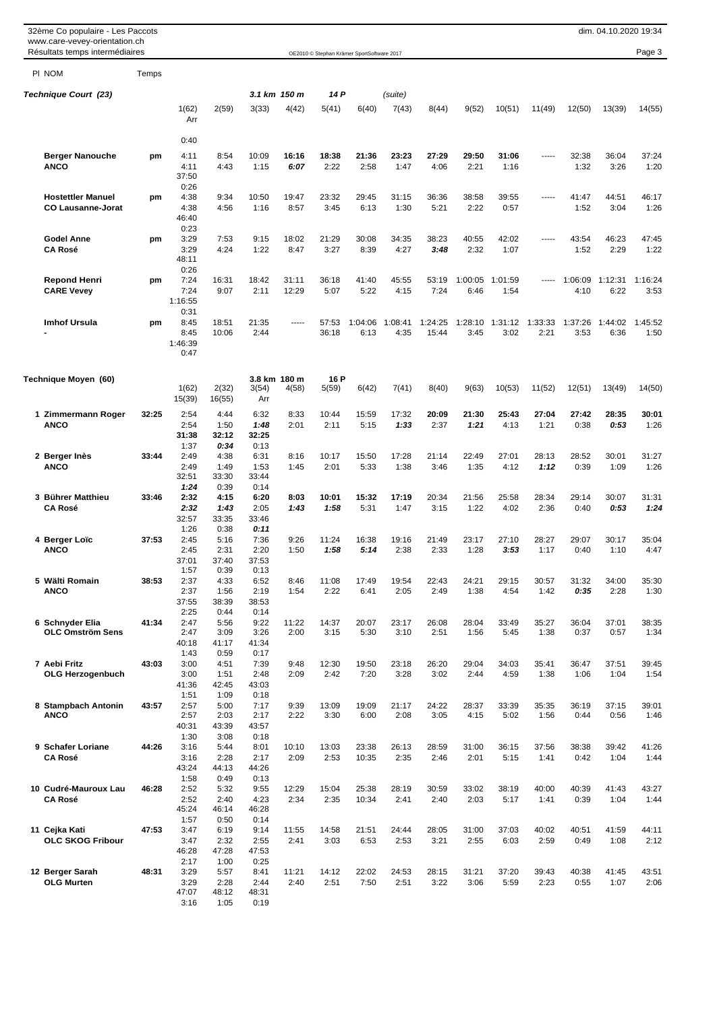| 32ème Co populaire - Les Paccots                                |       |                 |               |               |               |                                            |                |               |               |               |               |               |               | dim. 04.10.2020 19:34 |               |
|-----------------------------------------------------------------|-------|-----------------|---------------|---------------|---------------|--------------------------------------------|----------------|---------------|---------------|---------------|---------------|---------------|---------------|-----------------------|---------------|
| www.care-vevey-orientation.ch<br>Résultats temps intermédiaires |       |                 |               |               |               | OE2010 © Stephan Krämer SportSoftware 2017 |                |               |               |               |               |               |               |                       | Page 3        |
| PI NOM                                                          | Temps |                 |               |               |               |                                            |                |               |               |               |               |               |               |                       |               |
| <b>Technique Court (23)</b>                                     |       |                 |               |               | 3.1 km 150 m  | 14 P                                       |                | (suite)       |               |               |               |               |               |                       |               |
|                                                                 |       | 1(62)           | 2(59)         | 3(33)         | 4(42)         | 5(41)                                      | 6(40)          | 7(43)         | 8(44)         | 9(52)         | 10(51)        | 11(49)        | 12(50)        | 13(39)                | 14(55)        |
|                                                                 |       | Arr             |               |               |               |                                            |                |               |               |               |               |               |               |                       |               |
|                                                                 |       | 0:40            |               |               |               |                                            |                |               |               |               |               |               |               |                       |               |
| <b>Berger Nanouche</b>                                          | pm    | 4:11            | 8:54          | 10:09         | 16:16         | 18:38                                      | 21:36          | 23:23         | 27:29         | 29:50         | 31:06         | -----         | 32:38         | 36:04                 | 37:24         |
| <b>ANCO</b>                                                     |       | 4:11<br>37:50   | 4:43          | 1:15          | 6:07          | 2:22                                       | 2:58           | 1:47          | 4:06          | 2:21          | 1:16          |               | 1:32          | 3:26                  | 1:20          |
|                                                                 |       | 0:26            | 9:34          | 10:50         |               |                                            | 29:45          |               | 36:36         | 38:58         | 39:55         |               |               |                       |               |
| <b>Hostettler Manuel</b><br><b>CO Lausanne-Jorat</b>            | pm    | 4:38<br>4:38    | 4:56          | 1:16          | 19:47<br>8:57 | 23:32<br>3:45                              | 6:13           | 31:15<br>1:30 | 5:21          | 2:22          | 0:57          | -----         | 41:47<br>1:52 | 44:51<br>3:04         | 46:17<br>1:26 |
|                                                                 |       | 46:40           |               |               |               |                                            |                |               |               |               |               |               |               |                       |               |
| <b>Godel Anne</b>                                               | pm    | 0:23<br>3:29    | 7:53          | 9:15          | 18:02         | 21:29                                      | 30:08          | 34:35         | 38:23         | 40:55         | 42:02         | -----         | 43:54         | 46:23                 | 47:45         |
| <b>CA Rosé</b>                                                  |       | 3:29            | 4:24          | 1:22          | 8:47          | 3:27                                       | 8:39           | 4:27          | 3:48          | 2:32          | 1:07          |               | 1:52          | 2:29                  | 1:22          |
|                                                                 |       | 48:11<br>0:26   |               |               |               |                                            |                |               |               |               |               |               |               |                       |               |
| <b>Repond Henri</b>                                             | pm    | 7:24            | 16:31         | 18:42         | 31:11         | 36:18                                      | 41:40          | 45:55         | 53:19         | 1:00:05       | 1:01:59       | -----         | 1:06:09       | 1:12:31               | 1:16:24       |
| <b>CARE Vevey</b>                                               |       | 7:24            | 9:07          | 2:11          | 12:29         | 5:07                                       | 5:22           | 4:15          | 7:24          | 6:46          | 1:54          |               | 4:10          | 6:22                  | 3:53          |
|                                                                 |       | 1:16:55<br>0:31 |               |               |               |                                            |                |               |               |               |               |               |               |                       |               |
| <b>Imhof Ursula</b>                                             | pm    | 8:45            | 18:51         | 21:35         | -----         | 57:53                                      | 1:04:06        | 1:08:41       | 1:24:25       | 1:28:10       | 1:31:12       | 1:33:33       | 1:37:26       | 1:44:02               | 1:45:52       |
|                                                                 |       | 8:45<br>1:46:39 | 10:06         | 2:44          |               | 36:18                                      | 6:13           | 4:35          | 15:44         | 3:45          | 3:02          | 2:21          | 3:53          | 6:36                  | 1:50          |
|                                                                 |       | 0:47            |               |               |               |                                            |                |               |               |               |               |               |               |                       |               |
| Technique Moyen (60)                                            |       |                 |               | 3.8 km 180 m  |               | 16 P                                       |                |               |               |               |               |               |               |                       |               |
|                                                                 |       | 1(62)           | 2(32)         | 3(54)         | 4(58)         | 5(59)                                      | 6(42)          | 7(41)         | 8(40)         | 9(63)         | 10(53)        | 11(52)        | 12(51)        | 13(49)                | 14(50)        |
|                                                                 |       | 15(39)          | 16(55)        | Arr           |               |                                            |                |               |               |               |               |               |               |                       |               |
| 1 Zimmermann Roger                                              | 32:25 | 2:54            | 4:44          | 6:32          | 8:33          | 10:44                                      | 15:59          | 17:32         | 20:09         | 21:30         | 25:43         | 27:04         | 27:42         | 28:35                 | 30:01         |
| <b>ANCO</b>                                                     |       | 2:54<br>31:38   | 1:50<br>32:12 | 1:48<br>32:25 | 2:01          | 2:11                                       | 5:15           | 1:33          | 2:37          | 1:21          | 4:13          | 1:21          | 0:38          | 0:53                  | 1:26          |
|                                                                 |       | 1:37            | 0:34          | 0:13          |               |                                            |                |               |               |               |               |               |               |                       |               |
| 2 Berger Inès<br><b>ANCO</b>                                    | 33:44 | 2:49<br>2:49    | 4:38<br>1:49  | 6:31<br>1:53  | 8:16<br>1:45  | 10:17<br>2:01                              | 15:50<br>5:33  | 17:28<br>1:38 | 21:14<br>3:46 | 22:49<br>1:35 | 27:01<br>4:12 | 28:13<br>1:12 | 28:52<br>0:39 | 30:01<br>1:09         | 31:27<br>1:26 |
|                                                                 |       | 32:51           | 33:30         | 33:44         |               |                                            |                |               |               |               |               |               |               |                       |               |
|                                                                 |       | 1:24            | 0:39          | 0:14          |               |                                            |                |               |               |               |               |               |               |                       |               |
| 3 Bührer Matthieu<br><b>CA Rosé</b>                             | 33:46 | 2:32<br>2:32    | 4:15<br>1:43  | 6:20<br>2:05  | 8:03<br>1:43  | 10:01<br>1:58                              | 15:32<br>5:31  | 17:19<br>1:47 | 20:34<br>3:15 | 21:56<br>1:22 | 25:58<br>4:02 | 28:34<br>2:36 | 29:14<br>0:40 | 30:07<br>0:53         | 31:31<br>1:24 |
|                                                                 |       | 32:57           | 33:35         | 33:46         |               |                                            |                |               |               |               |               |               |               |                       |               |
| 4 Berger Loïc                                                   | 37:53 | 1:26<br>2:45    | 0:38<br>5:16  | 0:11<br>7:36  | 9:26          | 11:24                                      | 16:38          | 19:16         | 21:49         | 23:17         | 27:10         | 28:27         | 29:07         | 30:17                 | 35:04         |
| <b>ANCO</b>                                                     |       | 2:45            | 2:31          | 2:20          | 1:50          | 1:58                                       | 5:14           | 2:38          | 2:33          | 1:28          | 3:53          | 1:17          | 0:40          | 1:10                  | 4:47          |
|                                                                 |       | 37:01           | 37:40         | 37:53         |               |                                            |                |               |               |               |               |               |               |                       |               |
| 5 Wälti Romain                                                  | 38:53 | 1:57<br>2:37    | 0:39<br>4:33  | 0:13<br>6:52  | 8:46          | 11:08                                      | 17:49          | 19:54         | 22:43         | 24:21         | 29:15         | 30:57         | 31:32         | 34:00                 | 35:30         |
| <b>ANCO</b>                                                     |       | 2:37            | 1:56          | 2:19          | 1:54          | 2:22                                       | 6:41           | 2:05          | 2:49          | 1:38          | 4:54          | 1:42          | 0:35          | 2:28                  | 1:30          |
|                                                                 |       | 37:55<br>2:25   | 38:39<br>0:44 | 38:53<br>0:14 |               |                                            |                |               |               |               |               |               |               |                       |               |
| 6 Schnyder Elia                                                 | 41:34 | 2:47            | 5:56          | 9:22          | 11:22         | 14:37                                      | 20:07          | 23:17         | 26:08         | 28:04         | 33:49         | 35:27         | 36:04         | 37:01                 | 38:35         |
| <b>OLC Omström Sens</b>                                         |       | 2:47            | 3:09<br>41:17 | 3:26          | 2:00          | 3:15                                       | 5:30           | 3:10          | 2:51          | 1:56          | 5:45          | 1:38          | 0:37          | 0:57                  | 1:34          |
|                                                                 |       | 40:18<br>1:43   | 0:59          | 41:34<br>0:17 |               |                                            |                |               |               |               |               |               |               |                       |               |
| 7 Aebi Fritz                                                    | 43:03 | 3:00            | 4:51          | 7:39          | 9:48          | 12:30                                      | 19:50          | 23:18         | 26:20         | 29:04         | 34:03         | 35:41         | 36:47         | 37:51                 | 39:45         |
| <b>OLG Herzogenbuch</b>                                         |       | 3:00<br>41:36   | 1:51<br>42:45 | 2:48<br>43:03 | 2:09          | 2:42                                       | 7:20           | 3:28          | 3:02          | 2:44          | 4:59          | 1:38          | 1:06          | 1:04                  | 1:54          |
|                                                                 |       | 1:51            | 1:09          | 0:18          |               |                                            |                |               |               |               |               |               |               |                       |               |
| 8 Stampbach Antonin<br><b>ANCO</b>                              | 43:57 | 2:57<br>2:57    | 5:00<br>2:03  | 7:17<br>2:17  | 9:39<br>2:22  | 13:09<br>3:30                              | 19:09<br>6:00  | 21:17<br>2:08 | 24:22<br>3:05 | 28:37<br>4:15 | 33:39<br>5:02 | 35:35<br>1:56 | 36:19<br>0:44 | 37:15<br>0:56         | 39:01<br>1:46 |
|                                                                 |       | 40:31           | 43:39         | 43:57         |               |                                            |                |               |               |               |               |               |               |                       |               |
|                                                                 |       | 1:30            | 3:08          | 0:18          |               |                                            |                |               |               |               |               |               |               |                       |               |
| 9 Schafer Loriane<br><b>CA Rosé</b>                             | 44:26 | 3:16<br>3:16    | 5:44<br>2:28  | 8:01<br>2:17  | 10:10<br>2:09 | 13:03<br>2:53                              | 23:38<br>10:35 | 26:13<br>2:35 | 28:59<br>2:46 | 31:00<br>2:01 | 36:15<br>5:15 | 37:56<br>1:41 | 38:38<br>0:42 | 39:42<br>1:04         | 41:26<br>1:44 |
|                                                                 |       | 43:24           | 44:13         | 44:26         |               |                                            |                |               |               |               |               |               |               |                       |               |
| 10 Cudré-Mauroux Lau                                            | 46:28 | 1:58<br>2:52    | 0:49<br>5:32  | 0:13<br>9:55  | 12:29         | 15:04                                      | 25:38          | 28:19         | 30:59         | 33:02         | 38:19         | 40:00         | 40:39         | 41:43                 | 43:27         |
| <b>CA Rosé</b>                                                  |       | 2:52            | 2:40          | 4:23          | 2:34          | 2:35                                       | 10:34          | 2:41          | 2:40          | 2:03          | 5:17          | 1:41          | 0:39          | 1:04                  | 1:44          |
|                                                                 |       | 45:24           | 46:14         | 46:28         |               |                                            |                |               |               |               |               |               |               |                       |               |
| 11 Cejka Kati                                                   | 47:53 | 1:57<br>3:47    | 0:50<br>6:19  | 0:14<br>9:14  | 11:55         | 14:58                                      | 21:51          | 24:44         | 28:05         | 31:00         | 37:03         | 40:02         | 40:51         | 41:59                 | 44:11         |
| <b>OLC SKOG Fribour</b>                                         |       | 3:47            | 2:32          | 2:55          | 2:41          | 3:03                                       | 6:53           | 2:53          | 3:21          | 2:55          | 6:03          | 2:59          | 0:49          | 1:08                  | 2:12          |
|                                                                 |       | 46:28<br>2:17   | 47:28<br>1:00 | 47:53<br>0:25 |               |                                            |                |               |               |               |               |               |               |                       |               |
| 12 Berger Sarah                                                 | 48:31 | 3:29            | 5:57          | 8:41          | 11:21         | 14:12                                      | 22:02          | 24:53         | 28:15         | 31:21         | 37:20         | 39:43         | 40:38         | 41:45                 | 43:51         |
| <b>OLG Murten</b>                                               |       | 3:29            | 2:28          | 2:44          | 2:40          | 2:51                                       | 7:50           | 2:51          | 3:22          | 3:06          | 5:59          | 2:23          | 0:55          | 1:07                  | 2:06          |
|                                                                 |       | 47:07<br>3:16   | 48:12<br>1:05 | 48:31<br>0:19 |               |                                            |                |               |               |               |               |               |               |                       |               |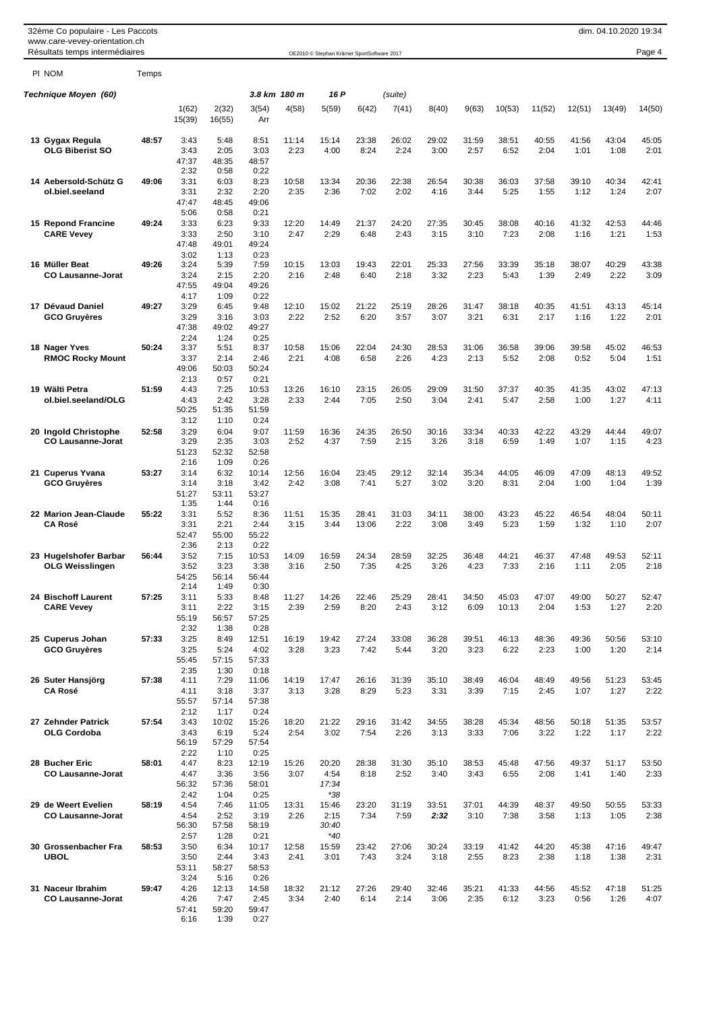| 32ème Co populaire - Les Paccots |  |
|----------------------------------|--|
| www.care-vevey-orientation.ch    |  |
|                                  |  |

| www.care-vevey-orientation.ch<br>Résultats temps intermédiaires |       |                               |                               |                               |               | OE2010 © Stephan Krämer SportSoftware 2017 |               |               |               |               |               |               |               |               | Page 4        |
|-----------------------------------------------------------------|-------|-------------------------------|-------------------------------|-------------------------------|---------------|--------------------------------------------|---------------|---------------|---------------|---------------|---------------|---------------|---------------|---------------|---------------|
| PI NOM                                                          | Temps |                               |                               |                               |               |                                            |               |               |               |               |               |               |               |               |               |
| Technique Moyen (60)                                            |       |                               |                               | 3.8 km 180 m                  |               | 16 P                                       |               | (suite)       |               |               |               |               |               |               |               |
|                                                                 |       | 1(62)<br>15(39)               | 2(32)<br>16(55)               | 3(54)<br>Arr                  | 4(58)         | 5(59)                                      | 6(42)         | 7(41)         | 8(40)         | 9(63)         | 10(53)        | 11(52)        | 12(51)        | 13(49)        | 14(50)        |
| 13 Gygax Regula<br><b>OLG Biberist SO</b>                       | 48:57 | 3:43<br>3:43<br>47:37<br>2:32 | 5:48<br>2:05<br>48:35<br>0:58 | 8:51<br>3:03<br>48:57<br>0:22 | 11:14<br>2:23 | 15:14<br>4:00                              | 23:38<br>8:24 | 26:02<br>2:24 | 29:02<br>3:00 | 31:59<br>2:57 | 38:51<br>6:52 | 40:55<br>2:04 | 41:56<br>1:01 | 43:04<br>1:08 | 45:05<br>2:01 |
| 14 Aebersold-Schütz G                                           | 49:06 | 3:31                          | 6:03                          | 8:23                          | 10:58         | 13:34                                      | 20:36         | 22:38         | 26:54         | 30:38         | 36:03         | 37:58         | 39:10         | 40:34         | 42:41         |

| 14 Aebersold-Schütz G<br>ol.biel.seeland         | 49:06 | 3:31<br>3:31<br>47:47<br>5:06         | 6:03<br>2:32<br>48:45<br>0:58          | 8:23<br>2:20<br>49:06<br>0:21          | 10:58<br>2:35 | 13:34<br>2:36                            | 20:36<br>7:02  | 22:38<br>2:02 | 26:54<br>4:16 | 30:38<br>3:44 | 36:03<br>5:25  | 37:58<br>1:55 | 39:10<br>1:12 | 40:34<br>1:24 | 42:41<br>2:07 |
|--------------------------------------------------|-------|---------------------------------------|----------------------------------------|----------------------------------------|---------------|------------------------------------------|----------------|---------------|---------------|---------------|----------------|---------------|---------------|---------------|---------------|
| 15 Repond Francine<br><b>CARE Vevey</b>          | 49:24 | 3:33<br>3:33<br>47:48<br>3:02         | 6:23<br>2:50<br>49:01<br>1:13          | 9:33<br>3:10<br>49:24<br>0:23          | 12:20<br>2:47 | 14:49<br>2:29                            | 21:37<br>6:48  | 24:20<br>2:43 | 27:35<br>3:15 | 30:45<br>3:10 | 38:08<br>7:23  | 40:16<br>2:08 | 41:32<br>1:16 | 42:53<br>1:21 | 44:46<br>1:53 |
| 16 Müller Beat<br><b>CO Lausanne-Jorat</b>       | 49:26 | 3:24<br>3:24<br>47:55                 | 5:39<br>2:15<br>49:04                  | 7:59<br>2:20<br>49:26                  | 10:15<br>2:16 | 13:03<br>2:48                            | 19:43<br>6:40  | 22:01<br>2:18 | 25:33<br>3:32 | 27:56<br>2:23 | 33:39<br>5:43  | 35:18<br>1:39 | 38:07<br>2:49 | 40:29<br>2:22 | 43:38<br>3:09 |
|                                                  |       | 4:17                                  | 1:09                                   | 0:22                                   |               |                                          |                |               |               |               |                |               |               |               |               |
| 17 Dévaud Daniel<br><b>GCO Gruyères</b>          | 49:27 | 3:29<br>3:29<br>47:38<br>2:24         | 6:45<br>3:16<br>49:02<br>1:24          | 9:48<br>3:03<br>49:27<br>0:25          | 12:10<br>2:22 | 15:02<br>2:52                            | 21:22<br>6:20  | 25:19<br>3:57 | 28:26<br>3:07 | 31:47<br>3:21 | 38:18<br>6:31  | 40:35<br>2:17 | 41:51<br>1:16 | 43:13<br>1:22 | 45:14<br>2:01 |
| 18 Nager Yves<br><b>RMOC Rocky Mount</b>         | 50:24 | 3:37<br>3:37<br>49:06                 | 5:51<br>2:14<br>50:03                  | 8:37<br>2:46<br>50:24                  | 10:58<br>2:21 | 15:06<br>4:08                            | 22:04<br>6:58  | 24:30<br>2:26 | 28:53<br>4:23 | 31:06<br>2:13 | 36:58<br>5:52  | 39:06<br>2:08 | 39:58<br>0:52 | 45:02<br>5:04 | 46:53<br>1:51 |
| 19 Wälti Petra<br>ol.biel.seeland/OLG            | 51:59 | 2:13<br>4:43<br>4:43<br>50:25         | 0:57<br>7:25<br>2:42<br>51:35          | 0:21<br>10:53<br>3:28<br>51:59         | 13:26<br>2:33 | 16:10<br>2:44                            | 23:15<br>7:05  | 26:05<br>2:50 | 29:09<br>3:04 | 31:50<br>2:41 | 37:37<br>5:47  | 40:35<br>2:58 | 41:35<br>1:00 | 43:02<br>1:27 | 47:13<br>4:11 |
| 20 Ingold Christophe<br><b>CO Lausanne-Jorat</b> | 52:58 | 3:12<br>3:29<br>3:29<br>51:23         | 1:10<br>6:04<br>2:35<br>52:32          | 0:24<br>9:07<br>3:03<br>52:58          | 11:59<br>2:52 | 16:36<br>4:37                            | 24:35<br>7:59  | 26:50<br>2:15 | 30:16<br>3:26 | 33:34<br>3:18 | 40:33<br>6:59  | 42:22<br>1:49 | 43:29<br>1:07 | 44:44<br>1:15 | 49:07<br>4:23 |
| 21 Cuperus Yvana<br><b>GCO Gruyères</b>          | 53:27 | 2:16<br>3:14<br>3:14<br>51:27         | 1:09<br>6:32<br>3:18<br>53:11          | 0:26<br>10:14<br>3:42<br>53:27         | 12:56<br>2:42 | 16:04<br>3:08                            | 23:45<br>7:41  | 29:12<br>5:27 | 32:14<br>3:02 | 35:34<br>3:20 | 44:05<br>8:31  | 46:09<br>2:04 | 47:09<br>1:00 | 48:13<br>1:04 | 49:52<br>1:39 |
| 22 Marion Jean-Claude<br><b>CA Rosé</b>          | 55:22 | 1:35<br>3:31<br>3:31<br>52:47<br>2:36 | 1:44<br>5:52<br>2:21<br>55:00<br>2:13  | 0:16<br>8:36<br>2:44<br>55:22<br>0:22  | 11:51<br>3:15 | 15:35<br>3:44                            | 28:41<br>13:06 | 31:03<br>2:22 | 34:11<br>3:08 | 38:00<br>3:49 | 43:23<br>5:23  | 45:22<br>1:59 | 46:54<br>1:32 | 48:04<br>1:10 | 50:11<br>2:07 |
| 23 Hugelshofer Barbar<br><b>OLG Weisslingen</b>  | 56:44 | 3:52<br>3:52<br>54:25                 | 7:15<br>3:23<br>56:14                  | 10:53<br>3:38<br>56:44                 | 14:09<br>3:16 | 16:59<br>2:50                            | 24:34<br>7:35  | 28:59<br>4:25 | 32:25<br>3:26 | 36:48<br>4:23 | 44:21<br>7:33  | 46:37<br>2:16 | 47:48<br>1:11 | 49:53<br>2:05 | 52:11<br>2:18 |
| 24 Bischoff Laurent<br><b>CARE Vevey</b>         | 57:25 | 2:14<br>3:11<br>3:11<br>55:19<br>2:32 | 1:49<br>5:33<br>2:22<br>56:57<br>1:38  | 0:30<br>8:48<br>3:15<br>57:25<br>0:28  | 11:27<br>2:39 | 14:26<br>2:59                            | 22:46<br>8:20  | 25:29<br>2:43 | 28:41<br>3:12 | 34:50<br>6:09 | 45:03<br>10:13 | 47:07<br>2:04 | 49:00<br>1:53 | 50:27<br>1:27 | 52:47<br>2:20 |
| 25 Cuperus Johan<br><b>GCO Gruyères</b>          | 57:33 | 3:25<br>3:25<br>55:45<br>2:35         | 8:49<br>5:24<br>57:15<br>1:30          | 12:51<br>4:02<br>57:33<br>0:18         | 16:19<br>3:28 | 19:42<br>3:23                            | 27:24<br>7:42  | 33:08<br>5:44 | 36:28<br>3:20 | 39:51<br>3:23 | 46:13<br>6:22  | 48:36<br>2:23 | 49:36<br>1:00 | 50:56<br>1:20 | 53:10<br>2:14 |
| 26 Suter Hansjörg<br><b>CA Rosé</b>              | 57:38 | 4:11<br>4:11<br>55:57                 | 7:29<br>3:18<br>57:14                  | 11:06<br>3:37<br>57:38                 | 14:19<br>3:13 | 17:47<br>3:28                            | 26:16<br>8:29  | 31:39<br>5:23 | 35:10<br>3:31 | 38:49<br>3:39 | 46:04<br>7:15  | 48:49<br>2:45 | 49:56<br>1:07 | 51:23<br>1:27 | 53:45<br>2:22 |
| 27 Zehnder Patrick<br><b>OLG Cordoba</b>         | 57:54 | 2:12<br>3:43<br>3:43<br>56:19<br>2:22 | 1:17<br>10:02<br>6:19<br>57:29<br>1:10 | 0:24<br>15:26<br>5:24<br>57:54<br>0:25 | 18:20<br>2:54 | 21:22<br>3:02                            | 29:16<br>7:54  | 31:42<br>2:26 | 34:55<br>3:13 | 38:28<br>3:33 | 45:34<br>7:06  | 48:56<br>3:22 | 50:18<br>1:22 | 51:35<br>1:17 | 53:57<br>2:22 |
| 28 Bucher Eric<br><b>CO Lausanne-Jorat</b>       | 58:01 | 4:47<br>4:47<br>56:32                 | 8:23<br>3:36<br>57:36                  | 12:19<br>3:56<br>58:01                 | 15:26<br>3:07 | 20:20<br>4:54<br>17:34                   | 28:38<br>8:18  | 31:30<br>2:52 | 35:10<br>3:40 | 38:53<br>3:43 | 45:48<br>6:55  | 47:56<br>2:08 | 49:37<br>1:41 | 51:17<br>1:40 | 53:50<br>2:33 |
| 29 de Weert Evelien<br><b>CO Lausanne-Jorat</b>  | 58:19 | 2:42<br>4:54<br>4:54<br>56:30<br>2:57 | 1:04<br>7:46<br>2:52<br>57:58<br>1:28  | 0:25<br>11:05<br>3:19<br>58:19<br>0:21 | 13:31<br>2:26 | $*38$<br>15:46<br>2:15<br>30:40<br>$*40$ | 23:20<br>7:34  | 31:19<br>7:59 | 33:51<br>2:32 | 37:01<br>3:10 | 44:39<br>7:38  | 48:37<br>3:58 | 49:50<br>1:13 | 50:55<br>1:05 | 53:33<br>2:38 |
| 30 Grossenbacher Fra<br><b>UBOL</b>              | 58:53 | 3:50<br>3:50<br>53:11<br>3:24         | 6:34<br>2:44<br>58:27<br>5:16          | 10:17<br>3:43<br>58:53<br>0:26         | 12:58<br>2:41 | 15:59<br>3:01                            | 23:42<br>7:43  | 27:06<br>3:24 | 30:24<br>3:18 | 33:19<br>2:55 | 41:42<br>8:23  | 44:20<br>2:38 | 45:38<br>1:18 | 47:16<br>1:38 | 49:47<br>2:31 |
| 31 Naceur Ibrahim<br><b>CO Lausanne-Jorat</b>    | 59:47 | 4:26<br>4:26<br>57:41<br>6:16         | 12:13<br>7:47<br>59:20<br>1:39         | 14:58<br>2:45<br>59:47<br>0:27         | 18:32<br>3:34 | 21:12<br>2:40                            | 27:26<br>6:14  | 29:40<br>2:14 | 32:46<br>3:06 | 35:21<br>2:35 | 41:33<br>6:12  | 44:56<br>3:23 | 45:52<br>0:56 | 47:18<br>1:26 | 51:25<br>4:07 |

dim. 04.10.2020 19:34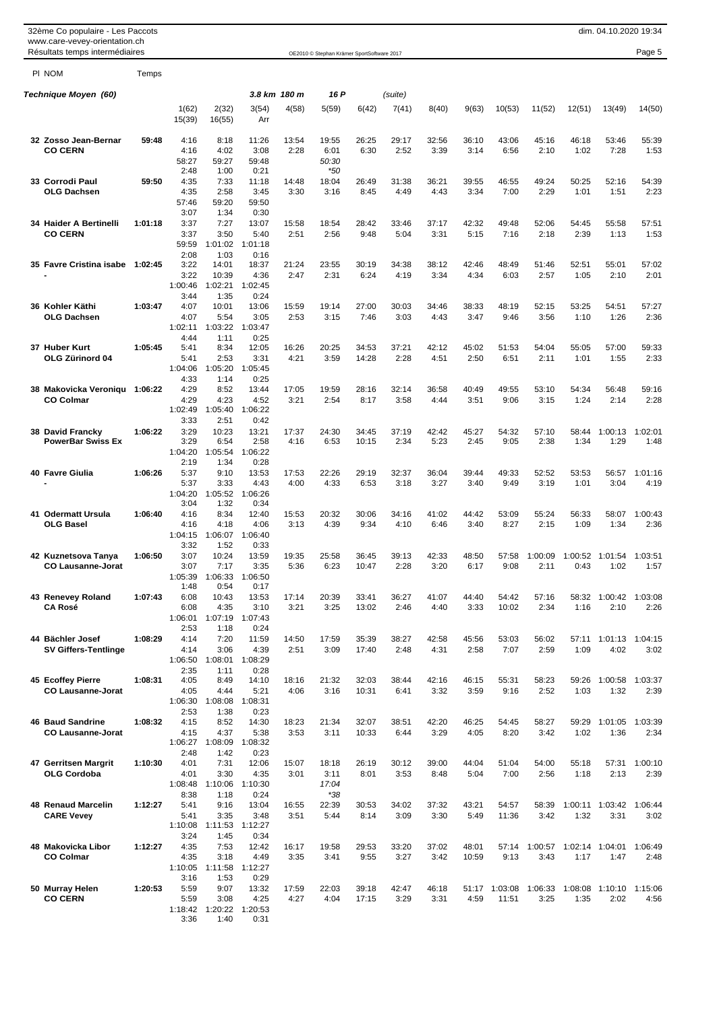| 32ème Co populaire - Les Paccots |
|----------------------------------|
| www.care-vevey-orientation.ch    |
|                                  |

| $\ldots$<br>Résultats temps intermédiaires |         |                                 |                                  |                                  |               | OE2010 © Stephan Krämer SportSoftware 2017 |               |               |               |               |               |               |               |               | Page 5        |
|--------------------------------------------|---------|---------------------------------|----------------------------------|----------------------------------|---------------|--------------------------------------------|---------------|---------------|---------------|---------------|---------------|---------------|---------------|---------------|---------------|
| PI NOM                                     | Temps   |                                 |                                  |                                  |               |                                            |               |               |               |               |               |               |               |               |               |
| Technique Moyen (60)                       |         |                                 |                                  |                                  | 3.8 km 180 m  | 16 P                                       |               | (suite)       |               |               |               |               |               |               |               |
|                                            |         | 1(62)<br>15(39)                 | 2(32)<br>16(55)                  | 3(54)<br>Arr                     | 4(58)         | 5(59)                                      | 6(42)         | 7(41)         | 8(40)         | 9(63)         | 10(53)        | 11(52)        | 12(51)        | 13(49)        | 14(50)        |
| 32 Zosso Jean-Bernar<br><b>CO CERN</b>     | 59:48   | 4:16<br>4:16<br>58:27<br>2:48   | 8:18<br>4:02<br>59:27<br>1:00    | 11:26<br>3:08<br>59:48<br>0:21   | 13:54<br>2:28 | 19:55<br>6:01<br>50:30<br>$*50$            | 26:25<br>6:30 | 29:17<br>2:52 | 32:56<br>3:39 | 36:10<br>3:14 | 43:06<br>6:56 | 45:16<br>2:10 | 46:18<br>1:02 | 53:46<br>7:28 | 55:39<br>1:53 |
| 33 Corrodi Paul<br><b>OLG Dachsen</b>      | 59:50   | 4:35<br>4:35<br>57:46<br>3:07   | 7:33<br>2:58<br>59:20<br>1:34    | 11:18<br>3:45<br>59:50<br>0:30   | 14:48<br>3:30 | 18:04<br>3:16                              | 26:49<br>8:45 | 31:38<br>4:49 | 36:21<br>4:43 | 39:55<br>3:34 | 46:55<br>7:00 | 49:24<br>2:29 | 50:25<br>1:01 | 52:16<br>1:51 | 54:39<br>2:23 |
| 34 Haider A Bertinelli<br><b>CO CERN</b>   | 1:01:18 | 3:37<br>3:37<br>59:59<br>2:08   | 7:27<br>3:50<br>1:01:02<br>1:03  | 13:07<br>5:40<br>1:01:18<br>0:16 | 15:58<br>2:51 | 18:54<br>2:56                              | 28:42<br>9:48 | 33:46<br>5:04 | 37:17<br>3:31 | 42:32<br>5:15 | 49:48<br>7:16 | 52:06<br>2:18 | 54:45<br>2:39 | 55:58<br>1:13 | 57:51<br>1:53 |
| 35 Favre Cristina isabe                    | 1:02:45 | 3:22<br>3:22<br>1:00:46         | 14:01<br>10:39<br>1:02:21        | 18:37<br>4:36<br>1:02:45         | 21:24<br>2:47 | 23:55<br>2:31                              | 30:19<br>6:24 | 34:38<br>4:19 | 38:12<br>3:34 | 42:46<br>4:34 | 48:49<br>6:03 | 51:46<br>2:57 | 52:51<br>1:05 | 55:01<br>2:10 | 57:02<br>2:01 |
| 36 Kohler Käthi<br><b>OLG Dachsen</b>      | 1:03:47 | 3:44<br>4:07<br>4:07<br>1:02:11 | 1:35<br>10:01<br>5:54<br>1:03:22 | 0:24<br>13:06<br>3:05<br>1:03:47 | 15:59<br>2:53 | 19:14<br>3:15                              | 27:00<br>7:46 | 30:03<br>3:03 | 34:46<br>4:43 | 38:33<br>3:47 | 48:19<br>9:46 | 52:15<br>3:56 | 53:25<br>1:10 | 54:51<br>1:26 | 57:27<br>2:36 |
| 37 Huber Kurt                              | 1:05:45 | 4:44<br>5:41                    | 1:11<br>8:34                     | 0:25<br>12:05                    | 16:26         | 20:25                                      | 34:53         | 37:21         | 42:12         | 45:02         | 51:53         | 54:04         | 55:05         | 57:00         | 59:33         |

| 37 Huber Kurt<br>OLG Zürinord 04                    | 1:05:45 | 5:41<br>5:41<br>1:04:06         | 8:34<br>2:53<br>1:05:20          | 12:05<br>3:31<br>1:05:45         | 16:26<br>4:21 | 20:25<br>3:59                   | 34:53<br>14:28 | 37:21<br>2:28 | 42:12<br>4:51 | 45:02<br>2:50 | 51:53<br>6:51    | 54:04<br>2:11   | 55:05<br>1:01   | 57:00<br>1:55   | 59:33<br>2:33   |
|-----------------------------------------------------|---------|---------------------------------|----------------------------------|----------------------------------|---------------|---------------------------------|----------------|---------------|---------------|---------------|------------------|-----------------|-----------------|-----------------|-----------------|
| 38 Makovicka Veronigu 1:06:22<br><b>CO Colmar</b>   |         | 4:33<br>4:29<br>4:29<br>1:02:49 | 1:14<br>8:52<br>4:23<br>1:05:40  | 0:25<br>13:44<br>4:52<br>1:06:22 | 17:05<br>3:21 | 19:59<br>2:54                   | 28:16<br>8:17  | 32:14<br>3:58 | 36:58<br>4:44 | 40:49<br>3:51 | 49:55<br>9:06    | 53:10<br>3:15   | 54:34<br>1:24   | 56:48<br>2:14   | 59:16<br>2:28   |
| 38 David Francky<br><b>PowerBar Swiss Ex</b>        | 1:06:22 | 3:33<br>3:29<br>3:29            | 2:51<br>10:23<br>6:54            | 0:42<br>13:21<br>2:58            | 17:37<br>4:16 | 24:30<br>6:53                   | 34:45<br>10:15 | 37:19<br>2:34 | 42:42<br>5:23 | 45:27<br>2:45 | 54:32<br>9:05    | 57:10<br>2:38   | 58:44<br>1:34   | 1:00:13<br>1:29 | 1:02:01<br>1:48 |
| 40 Favre Giulia                                     | 1:06:26 | 1:04:20<br>2:19<br>5:37<br>5:37 | 1:05:54<br>1:34<br>9:10<br>3:33  | 1:06:22<br>0:28<br>13:53<br>4:43 | 17:53<br>4:00 | 22:26<br>4:33                   | 29:19<br>6:53  | 32:37<br>3:18 | 36:04<br>3:27 | 39:44<br>3:40 | 49:33<br>9:49    | 52:52<br>3:19   | 53:53<br>1:01   | 56:57<br>3:04   | 1:01:16<br>4:19 |
| 41 Odermatt Ursula                                  | 1:06:40 | 1:04:20<br>3:04<br>4:16         | 1:05:52<br>1:32<br>8:34          | 1:06:26<br>0:34<br>12:40         | 15:53         | 20:32                           | 30:06          | 34:16         | 41:02         | 44:42         | 53:09            | 55:24           | 56:33           | 58:07           | 1:00:43         |
| <b>OLG Basel</b>                                    |         | 4:16<br>1:04:15<br>3:32         | 4:18<br>1:06:07<br>1:52          | 4:06<br>1:06:40<br>0:33          | 3:13          | 4:39                            | 9:34           | 4:10          | 6:46          | 3:40          | 8:27             | 2:15            | 1:09            | 1:34            | 2:36            |
| 42 Kuznetsova Tanya<br><b>CO Lausanne-Jorat</b>     | 1:06:50 | 3:07<br>3:07<br>1:05:39<br>1:48 | 10:24<br>7:17<br>1:06:33<br>0:54 | 13:59<br>3:35<br>1:06:50<br>0:17 | 19:35<br>5:36 | 25:58<br>6:23                   | 36:45<br>10:47 | 39:13<br>2:28 | 42:33<br>3:20 | 48:50<br>6:17 | 57:58<br>9:08    | 1:00:09<br>2:11 | 1:00:52<br>0:43 | 1:01:54<br>1:02 | 1:03:51<br>1:57 |
| 43 Renevey Roland<br><b>CA Rosé</b>                 | 1:07:43 | 6:08<br>6:08<br>1:06:01         | 10:43<br>4:35<br>1:07:19         | 13:53<br>3:10<br>1:07:43         | 17:14<br>3:21 | 20:39<br>3:25                   | 33:41<br>13:02 | 36:27<br>2:46 | 41:07<br>4:40 | 44:40<br>3:33 | 54:42<br>10:02   | 57:16<br>2:34   | 58:32<br>1:16   | 1:00:42<br>2:10 | 1:03:08<br>2:26 |
| 44 Bächler Josef<br><b>SV Giffers-Tentlinge</b>     | 1:08:29 | 2:53<br>4:14<br>4:14<br>1:06:50 | 1:18<br>7:20<br>3:06<br>1:08:01  | 0:24<br>11:59<br>4:39<br>1:08:29 | 14:50<br>2:51 | 17:59<br>3:09                   | 35:39<br>17:40 | 38:27<br>2:48 | 42:58<br>4:31 | 45:56<br>2:58 | 53:03<br>7:07    | 56:02<br>2:59   | 57:11<br>1:09   | 1:01:13<br>4:02 | 1:04:15<br>3:02 |
| 45 Ecoffey Pierre<br><b>CO Lausanne-Jorat</b>       | 1:08:31 | 2:35<br>4:05<br>4:05<br>1:06:30 | 1:11<br>8:49<br>4:44<br>1:08:08  | 0:28<br>14:10<br>5:21<br>1:08:31 | 18:16<br>4:06 | 21:32<br>3:16                   | 32:03<br>10:31 | 38:44<br>6:41 | 42:16<br>3:32 | 46:15<br>3:59 | 55:31<br>9:16    | 58:23<br>2:52   | 59:26<br>1:03   | 1:00:58<br>1:32 | 1:03:37<br>2:39 |
| <b>46 Baud Sandrine</b><br><b>CO Lausanne-Jorat</b> | 1:08:32 | 2:53<br>4:15<br>4:15            | 1:38<br>8:52<br>4:37             | 0:23<br>14:30<br>5:38            | 18:23<br>3:53 | 21:34<br>3:11                   | 32:07<br>10:33 | 38:51<br>6:44 | 42:20<br>3:29 | 46:25<br>4:05 | 54:45<br>8:20    | 58:27<br>3:42   | 59:29<br>1:02   | 1:01:05<br>1:36 | 1:03:39<br>2:34 |
| 47 Gerritsen Margrit<br><b>OLG Cordoba</b>          | 1:10:30 | 1:06:27<br>2:48<br>4:01<br>4:01 | 1:08:09<br>1:42<br>7:31<br>3:30  | 1:08:32<br>0:23<br>12:06<br>4:35 | 15:07<br>3:01 | 18:18<br>3:11                   | 26:19<br>8:01  | 30:12<br>3:53 | 39:00<br>8:48 | 44:04<br>5:04 | 51:04<br>7:00    | 54:00<br>2:56   | 55:18<br>1:18   | 57:31<br>2:13   | 1:00:10<br>2:39 |
| <b>48 Renaud Marcelin</b><br><b>CARE Vevey</b>      | 1:12:27 | 1:08:48<br>8:38<br>5:41<br>5:41 | 1:10:06<br>1:18<br>9:16<br>3:35  | 1:10:30<br>0:24<br>13:04<br>3:48 | 16:55<br>3:51 | 17:04<br>$*38$<br>22:39<br>5:44 | 30:53<br>8:14  | 34:02<br>3:09 | 37:32<br>3:30 | 43:21<br>5:49 | 54:57<br>11:36   | 58:39<br>3:42   | 1:00:11<br>1:32 | 1:03:42<br>3:31 | 1:06:44<br>3:02 |
| 48 Makovicka Libor                                  | 1:12:27 | 1:10:08<br>3:24<br>4:35         | 1:11:53<br>1:45<br>7:53          | 1:12:27<br>0:34<br>12:42         | 16:17         | 19:58                           | 29:53          | 33:20         | 37:02         | 48:01         | 57:14            | 1:00:57         | 1:02:14         | 1:04:01         | 1:06:49         |
| <b>CO Colmar</b>                                    |         | 4:35<br>1:10:05<br>3:16         | 3:18<br>1:11:58<br>1:53          | 4:49<br>1:12:27<br>0:29          | 3:35          | 3:41                            | 9:55           | 3:27          | 3:42          | 10:59         | 9:13             | 3:43            | 1:17            | 1:47            | 2:48            |
| 50 Murray Helen<br><b>CO CERN</b>                   | 1:20:53 | 5:59<br>5:59<br>1:18:42<br>3:36 | 9:07<br>3:08<br>1:20:22<br>1:40  | 13:32<br>4:25<br>1:20:53<br>0:31 | 17:59<br>4:27 | 22:03<br>4:04                   | 39:18<br>17:15 | 42:47<br>3:29 | 46:18<br>3:31 | 51:17<br>4:59 | 1:03:08<br>11:51 | 1:06:33<br>3:25 | 1:08:08<br>1:35 | 1:10:10<br>2:02 | 1:15:06<br>4:56 |

dim. 04.10.2020 19:34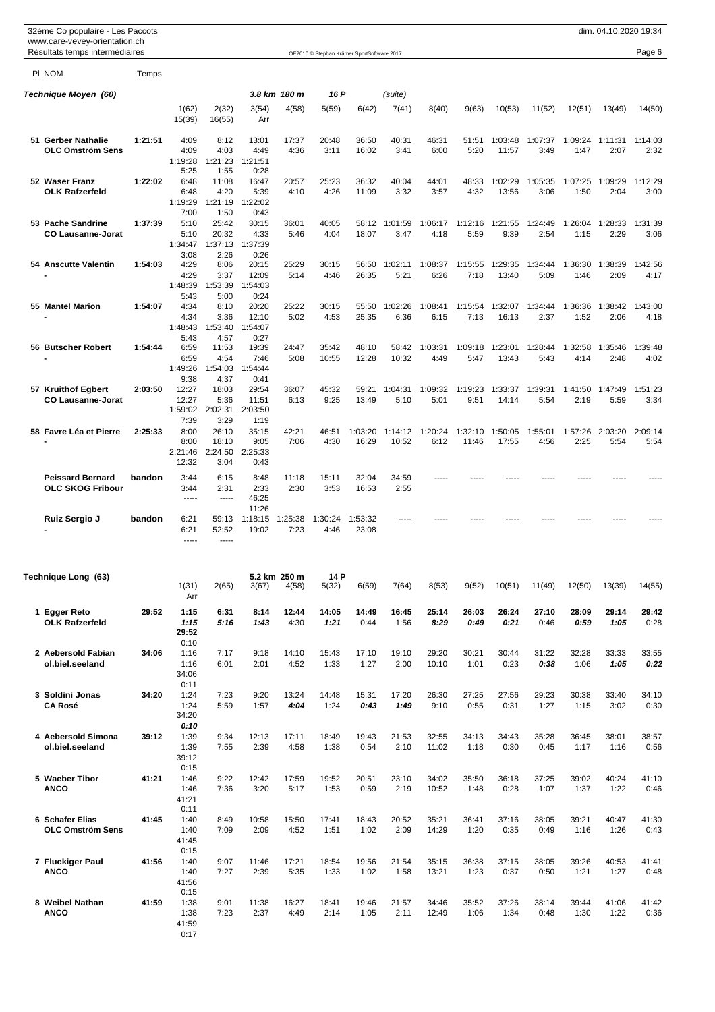| 32ème Co populaire - Les Paccots |
|----------------------------------|
| www.care-vevey-orientation.ch    |
|                                  |

| Résultats temps intermédiaires                     |         |                                   |                                   |                                   |                       | OE2010 © Stephan Krämer SportSoftware 2017 |                  |                  |                 |                  |                  |                 |                 |                 | Page 6          |
|----------------------------------------------------|---------|-----------------------------------|-----------------------------------|-----------------------------------|-----------------------|--------------------------------------------|------------------|------------------|-----------------|------------------|------------------|-----------------|-----------------|-----------------|-----------------|
| PI NOM                                             | Temps   |                                   |                                   |                                   |                       |                                            |                  |                  |                 |                  |                  |                 |                 |                 |                 |
| Technique Moyen (60)                               |         |                                   |                                   |                                   | 3.8 km 180 m          | 16 P                                       |                  | (suite)          |                 |                  |                  |                 |                 |                 |                 |
|                                                    |         | 1(62)<br>15(39)                   | 2(32)<br>16(55)                   | 3(54)<br>Arr                      | 4(58)                 | 5(59)                                      | 6(42)            | 7(41)            | 8(40)           | 9(63)            | 10(53)           | 11(52)          | 12(51)          | 13(49)          | 14(50)          |
| 51 Gerber Nathalie<br><b>OLC Omström Sens</b>      | 1:21:51 | 4:09<br>4:09<br>1:19:28<br>5:25   | 8:12<br>4:03<br>1:21:23<br>1:55   | 13:01<br>4:49<br>1:21:51<br>0:28  | 17:37<br>4:36         | 20:48<br>3:11                              | 36:50<br>16:02   | 40:31<br>3:41    | 46:31<br>6:00   | 51:51<br>5:20    | 1:03:48<br>11:57 | 1:07:37<br>3:49 | 1:09:24<br>1:47 | 1:11:31<br>2:07 | 1:14:03<br>2:32 |
| 52 Waser Franz<br><b>OLK Rafzerfeld</b>            | 1:22:02 | 6:48<br>6:48<br>1:19:29<br>7:00   | 11:08<br>4:20<br>1:21:19<br>1:50  | 16:47<br>5:39<br>1:22:02<br>0:43  | 20:57<br>4:10         | 25:23<br>4:26                              | 36:32<br>11:09   | 40:04<br>3:32    | 44:01<br>3:57   | 48:33<br>4:32    | 1:02:29<br>13:56 | 1:05:35<br>3:06 | 1:07:25<br>1:50 | 1:09:29<br>2:04 | 1:12:29<br>3:00 |
| 53 Pache Sandrine<br><b>CO Lausanne-Jorat</b>      | 1:37:39 | 5:10<br>5:10<br>1:34:47<br>3:08   | 25:42<br>20:32<br>1:37:13<br>2:26 | 30:15<br>4:33<br>1:37:39<br>0:26  | 36:01<br>5:46         | 40:05<br>4:04                              | 58:12<br>18:07   | 1:01:59<br>3:47  | 1:06:17<br>4:18 | 1:12:16<br>5:59  | 1:21:55<br>9:39  | 1:24:49<br>2:54 | 1:26:04<br>1:15 | 1:28:33<br>2:29 | 1:31:39<br>3:06 |
| 54 Anscutte Valentin                               | 1:54:03 | 4:29<br>4:29<br>1:48:39<br>5:43   | 8:06<br>3:37<br>1:53:39<br>5:00   | 20:15<br>12:09<br>1:54:03<br>0:24 | 25:29<br>5:14         | 30:15<br>4:46                              | 56:50<br>26:35   | 1:02:11<br>5:21  | 1:08:37<br>6:26 | 1:15:55<br>7:18  | 1:29:35<br>13:40 | 1:34:44<br>5:09 | 1:36:30<br>1:46 | 1:38:39<br>2:09 | 1:42:56<br>4:17 |
| 55 Mantel Marion                                   | 1:54:07 | 4:34<br>4:34<br>1:48:43<br>5:43   | 8:10<br>3:36<br>1:53:40<br>4:57   | 20:20<br>12:10<br>1:54:07<br>0:27 | 25:22<br>5:02         | 30:15<br>4:53                              | 55:50<br>25:35   | 1:02:26<br>6:36  | 1:08:41<br>6:15 | 1:15:54<br>7:13  | 1:32:07<br>16:13 | 1:34:44<br>2:37 | 1:36:36<br>1:52 | 1:38:42<br>2:06 | 1:43:00<br>4:18 |
| <b>56 Butscher Robert</b>                          | 1:54:44 | 6:59<br>6:59<br>1:49:26<br>9:38   | 11:53<br>4:54<br>1:54:03<br>4:37  | 19:39<br>7:46<br>1:54:44<br>0:41  | 24:47<br>5:08         | 35:42<br>10:55                             | 48:10<br>12:28   | 58:42<br>10:32   | 1:03:31<br>4:49 | 1:09:18<br>5:47  | 1:23:01<br>13:43 | 1:28:44<br>5:43 | 1:32:58<br>4:14 | 1:35:46<br>2:48 | 1:39:48<br>4:02 |
| 57 Kruithof Egbert<br><b>CO Lausanne-Jorat</b>     | 2:03:50 | 12:27<br>12:27<br>1:59:02<br>7:39 | 18:03<br>5:36<br>2:02:31<br>3:29  | 29:54<br>11:51<br>2:03:50<br>1:19 | 36:07<br>6:13         | 45:32<br>9:25                              | 59:21<br>13:49   | 1:04:31<br>5:10  | 1:09:32<br>5:01 | 1:19:23<br>9:51  | 1:33:37<br>14:14 | 1:39:31<br>5:54 | 1:41:50<br>2:19 | 1:47:49<br>5:59 | 1:51:23<br>3:34 |
| 58 Favre Léa et Pierre                             | 2:25:33 | 8:00<br>8:00<br>2:21:46<br>12:32  | 26:10<br>18:10<br>2:24:50<br>3:04 | 35:15<br>9:05<br>2:25:33<br>0:43  | 42:21<br>7:06         | 46:51<br>4:30                              | 1:03:20<br>16:29 | 1:14:12<br>10:52 | 1:20:24<br>6:12 | 1:32:10<br>11:46 | 1:50:05<br>17:55 | 1:55:01<br>4:56 | 1:57:26<br>2:25 | 2:03:20<br>5:54 | 2:09:14<br>5:54 |
| <b>Peissard Bernard</b><br><b>OLC SKOG Fribour</b> | bandon  | 3:44<br>3:44<br>-----             | 6:15<br>2:31<br>-----             | 8:48<br>2:33<br>46:25<br>11:26    | 11:18<br>2:30         | 15:11<br>3:53                              | 32:04<br>16:53   | 34:59<br>2:55    |                 |                  |                  |                 |                 |                 |                 |
| Ruiz Sergio J                                      | bandon  | 6:21<br>6:21<br>-----             | 59:13<br>52:52<br>-----           | 1:18:15<br>19:02                  | 1:25:38<br>7:23       | 1:30:24<br>4:46                            | 1:53:32<br>23:08 | ----             |                 |                  |                  |                 |                 |                 |                 |
| Technique Long (63)                                |         | 1(31)<br>Arr                      | 2(65)                             | 3(67)                             | 5.2 km 250 m<br>4(58) | 14 P<br>5(32)                              | 6(59)            | 7(64)            | 8(53)           | 9(52)            | 10(51)           | 11(49)          | 12(50)          | 13(39)          | 14(55)          |
| 1 Egger Reto<br><b>OLK Rafzerfeld</b>              | 29:52   | 1:15<br>1:15<br>29:52<br>0:10     | 6:31<br>5:16                      | 8:14<br>1:43                      | 12:44<br>4:30         | 14:05<br>1:21                              | 14:49<br>0:44    | 16:45<br>1:56    | 25:14<br>8:29   | 26:03<br>0:49    | 26:24<br>0:21    | 27:10<br>0:46   | 28:09<br>0:59   | 29:14<br>1:05   | 29:42<br>0:28   |
| 2 Aebersold Fabian<br>ol.biel.seeland              | 34:06   | 1:16<br>1:16<br>34:06<br>0:11     | 7:17<br>6:01                      | 9:18<br>2:01                      | 14:10<br>4:52         | 15:43<br>1:33                              | 17:10<br>1:27    | 19:10<br>2:00    | 29:20<br>10:10  | 30:21<br>1:01    | 30:44<br>0:23    | 31:22<br>0:38   | 32:28<br>1:06   | 33:33<br>1:05   | 33:55<br>0:22   |
| 3 Soldini Jonas<br><b>CA Rosé</b>                  | 34:20   | 1:24<br>1:24<br>34:20<br>0:10     | 7:23<br>5:59                      | 9:20<br>1:57                      | 13:24<br>4:04         | 14:48<br>1:24                              | 15:31<br>0:43    | 17:20<br>1:49    | 26:30<br>9:10   | 27:25<br>0:55    | 27:56<br>0:31    | 29:23<br>1:27   | 30:38<br>1:15   | 33:40<br>3:02   | 34:10<br>0:30   |
| 4 Aebersold Simona<br>ol.biel.seeland              | 39:12   | 1:39<br>1:39<br>39:12<br>0:15     | 9:34<br>7:55                      | 12:13<br>2:39                     | 17:11<br>4:58         | 18:49<br>1:38                              | 19:43<br>0:54    | 21:53<br>2:10    | 32:55<br>11:02  | 34:13<br>1:18    | 34:43<br>0:30    | 35:28<br>0:45   | 36:45<br>1:17   | 38:01<br>1:16   | 38:57<br>0:56   |
| 5 Waeber Tibor                                     | 41:21   | 1:46                              | 9:22                              | 12:42                             | 17:59                 | 19:52                                      | 20:51            | 23:10            | 34:02           | 35:50            | 36:18            | 37:25           | 39:02           | 40:24           | 41:10           |

| 5 Waeber Tibor<br><b>ANCO</b>               | 41:21 | 0:15<br>1:46<br>1:46<br>41:21<br>0:11 | 9:22<br>7:36 | 12:42<br>3:20 | 17:59<br>5:17 | 19:52<br>1:53 | 20:51<br>0:59 | 23:10<br>2:19 | 34:02<br>10:52 | 35:50<br>1:48 | 36:18<br>0:28 | 37:25<br>1:07 | 39:02<br>1:37 | 40:24<br>1:22 | 41:10<br>0:46 |
|---------------------------------------------|-------|---------------------------------------|--------------|---------------|---------------|---------------|---------------|---------------|----------------|---------------|---------------|---------------|---------------|---------------|---------------|
| 6  Schafer Elias<br><b>OLC Omström Sens</b> | 41:45 | 1:40<br>1:40<br>41:45<br>0:15         | 8:49<br>7:09 | 10:58<br>2:09 | 15:50<br>4:52 | 17:41<br>1:51 | 18:43<br>1:02 | 20:52<br>2:09 | 35:21<br>14:29 | 36:41<br>1:20 | 37:16<br>0:35 | 38:05<br>0:49 | 39:21<br>1:16 | 40:47<br>1:26 | 41:30<br>0:43 |
| <b>Fluckiger Paul</b><br><b>ANCO</b>        | 41:56 | 1:40<br>1:40<br>41:56<br>0:15         | 9:07<br>7:27 | 11:46<br>2:39 | 17:21<br>5:35 | 18:54<br>1:33 | 19:56<br>1:02 | 21:54<br>1:58 | 35:15<br>13:21 | 36:38<br>1:23 | 37:15<br>0:37 | 38:05<br>0:50 | 39:26<br>1:21 | 40:53<br>1:27 | 41:41<br>0:48 |
| 8 Weibel Nathan<br><b>ANCO</b>              | 41:59 | 1:38<br>1:38<br>41:59                 | 9:01<br>7:23 | 11:38<br>2:37 | 16:27<br>4:49 | 18:41<br>2:14 | 19:46<br>1:05 | 21:57<br>2:11 | 34:46<br>12:49 | 35:52<br>1:06 | 37:26<br>1:34 | 38:14<br>0:48 | 39:44<br>1:30 | 41:06<br>1:22 | 41:42<br>0:36 |

0:17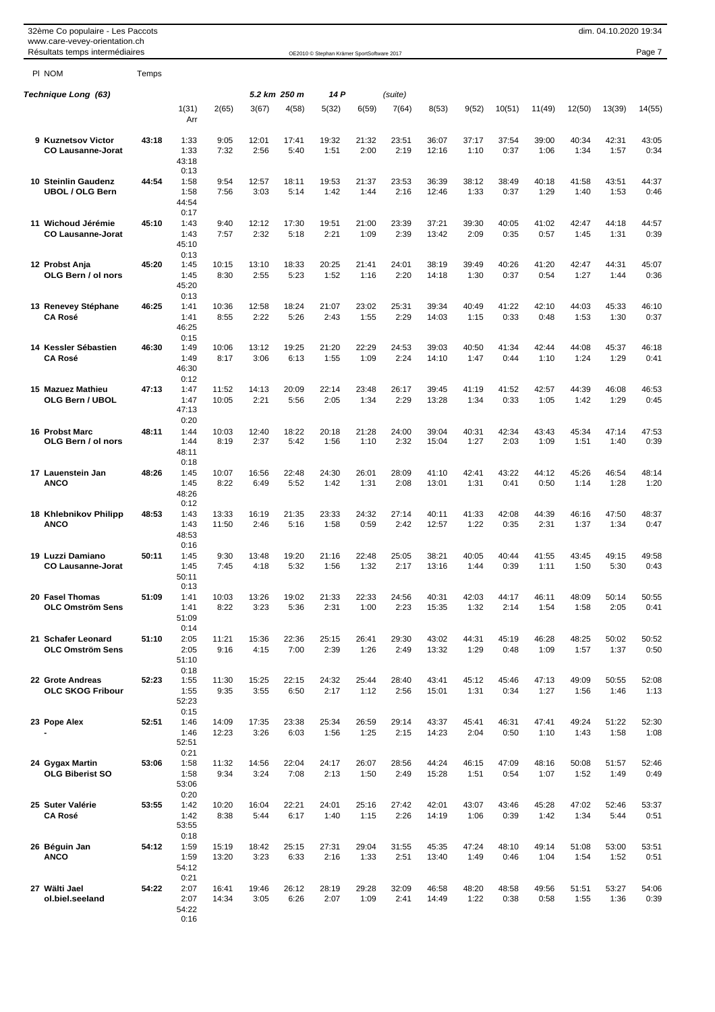|  | 32ème Co populaire - Les Paccots<br>www.care-vevey-orientation.ch |       |               |                |               |               |                                            |               |               |                |               |               |               |               | dim. 04.10.2020 19:34 |               |
|--|-------------------------------------------------------------------|-------|---------------|----------------|---------------|---------------|--------------------------------------------|---------------|---------------|----------------|---------------|---------------|---------------|---------------|-----------------------|---------------|
|  | Résultats temps intermédiaires                                    |       |               |                |               |               | OE2010 © Stephan Krämer SportSoftware 2017 |               |               |                |               |               |               |               |                       | Page 7        |
|  | PI NOM                                                            | Temps |               |                |               |               |                                            |               |               |                |               |               |               |               |                       |               |
|  | Technique Long (63)                                               |       |               |                |               | 5.2 km 250 m  | 14 P                                       |               | (suite)       |                |               |               |               |               |                       |               |
|  |                                                                   |       | 1(31)<br>Arr  | 2(65)          | 3(67)         | 4(58)         | 5(32)                                      | 6(59)         | 7(64)         | 8(53)          | 9(52)         | 10(51)        | 11(49)        | 12(50)        | 13(39)                | 14(55)        |
|  | 9 Kuznetsov Victor                                                | 43:18 | 1:33          | 9:05           | 12:01         | 17:41         | 19:32                                      | 21:32         | 23:51         | 36:07          | 37:17         | 37:54         | 39:00         | 40:34         | 42:31                 | 43:05         |
|  | <b>CO Lausanne-Jorat</b>                                          |       | 1:33          | 7:32           | 2:56          | 5:40          | 1:51                                       | 2:00          | 2:19          | 12:16          | 1:10          | 0:37          | 1:06          | 1:34          | 1:57                  | 0:34          |
|  |                                                                   |       | 43:18         |                |               |               |                                            |               |               |                |               |               |               |               |                       |               |
|  |                                                                   |       | 0:13          |                |               |               |                                            |               |               |                |               |               |               |               |                       |               |
|  | 10 Steinlin Gaudenz                                               | 44:54 | 1:58          | 9:54           | 12:57         | 18:11         | 19:53                                      | 21:37         | 23:53         | 36:39          | 38:12         | 38:49         | 40:18         | 41:58         | 43:51                 | 44:37         |
|  | <b>UBOL / OLG Bern</b>                                            |       | 1:58          | 7:56           | 3:03          | 5:14          | 1:42                                       | 1:44          | 2:16          | 12:46          | 1:33          | 0:37          | 1:29          | 1:40          | 1:53                  | 0:46          |
|  |                                                                   |       | 44:54<br>0:17 |                |               |               |                                            |               |               |                |               |               |               |               |                       |               |
|  | 11 Wichoud Jérémie                                                | 45:10 | 1:43          | 9:40           | 12:12         | 17:30         | 19:51                                      | 21:00         | 23:39         | 37:21          | 39:30         | 40:05         | 41:02         | 42:47         | 44:18                 | 44:57         |
|  | <b>CO Lausanne-Jorat</b>                                          |       | 1:43          | 7:57           | 2:32          | 5:18          | 2:21                                       | 1:09          | 2:39          | 13:42          | 2:09          | 0:35          | 0:57          | 1:45          | 1:31                  | 0:39          |
|  |                                                                   |       | 45:10         |                |               |               |                                            |               |               |                |               |               |               |               |                       |               |
|  |                                                                   |       | 0:13          |                |               |               |                                            |               |               |                |               |               |               |               |                       |               |
|  | 12 Probst Anja                                                    | 45:20 | 1:45          | 10:15          | 13:10         | 18:33         | 20:25                                      | 21:41         | 24:01         | 38:19          | 39:49         | 40:26         | 41:20         | 42:47         | 44:31                 | 45:07         |
|  | OLG Bern / ol nors                                                |       | 1:45          | 8:30           | 2:55          | 5:23          | 1:52                                       | 1:16          | 2:20          | 14:18          | 1:30          | 0:37          | 0:54          | 1:27          | 1:44                  | 0:36          |
|  |                                                                   |       | 45:20<br>0:13 |                |               |               |                                            |               |               |                |               |               |               |               |                       |               |
|  | 13 Renevey Stéphane                                               | 46:25 | 1:41          | 10:36          | 12:58         | 18:24         | 21:07                                      | 23:02         | 25:31         | 39:34          | 40:49         | 41:22         | 42:10         | 44:03         | 45:33                 | 46:10         |
|  | <b>CA Rosé</b>                                                    |       | 1:41          | 8:55           | 2:22          | 5:26          | 2:43                                       | 1:55          | 2:29          | 14:03          | 1:15          | 0:33          | 0:48          | 1:53          | 1:30                  | 0:37          |
|  |                                                                   |       | 46:25         |                |               |               |                                            |               |               |                |               |               |               |               |                       |               |
|  |                                                                   |       | 0:15          |                |               |               |                                            |               |               |                |               |               |               |               |                       |               |
|  | 14 Kessler Sébastien                                              | 46:30 | 1:49          | 10:06          | 13:12         | 19:25         | 21:20                                      | 22:29         | 24:53         | 39:03          | 40:50         | 41:34         | 42:44         | 44:08         | 45:37                 | 46:18         |
|  | <b>CA Rosé</b>                                                    |       | 1:49<br>46:30 | 8:17           | 3:06          | 6:13          | 1:55                                       | 1:09          | 2:24          | 14:10          | 1:47          | 0:44          | 1:10          | 1:24          | 1:29                  | 0:41          |
|  |                                                                   |       | 0:12          |                |               |               |                                            |               |               |                |               |               |               |               |                       |               |
|  | 15 Mazuez Mathieu                                                 | 47:13 | 1:47          | 11:52          | 14:13         | 20:09         | 22:14                                      | 23:48         | 26:17         | 39:45          | 41:19         | 41:52         | 42:57         | 44:39         | 46:08                 | 46:53         |
|  | OLG Bern / UBOL                                                   |       | 1:47          | 10:05          | 2:21          | 5:56          | 2:05                                       | 1:34          | 2:29          | 13:28          | 1:34          | 0:33          | 1:05          | 1:42          | 1:29                  | 0:45          |
|  |                                                                   |       | 47:13         |                |               |               |                                            |               |               |                |               |               |               |               |                       |               |
|  |                                                                   |       | 0:20          |                |               |               |                                            |               |               |                |               |               |               |               |                       |               |
|  | <b>16 Probst Marc</b>                                             | 48:11 | 1:44          | 10:03          | 12:40         | 18:22         | 20:18                                      | 21:28         | 24:00         | 39:04          | 40:31         | 42:34         | 43:43         | 45:34         | 47:14                 | 47:53         |
|  | OLG Bern / ol nors                                                |       | 1:44<br>48:11 | 8:19           | 2:37          | 5:42          | 1:56                                       | 1:10          | 2:32          | 15:04          | 1:27          | 2:03          | 1:09          | 1:51          | 1:40                  | 0:39          |
|  |                                                                   |       | 0:18          |                |               |               |                                            |               |               |                |               |               |               |               |                       |               |
|  | 17 Lauenstein Jan                                                 | 48:26 | 1:45          | 10:07          | 16:56         | 22:48         | 24:30                                      | 26:01         | 28:09         | 41:10          | 42:41         | 43:22         | 44:12         | 45:26         | 46:54                 | 48:14         |
|  | <b>ANCO</b>                                                       |       | 1:45          | 8:22           | 6:49          | 5:52          | 1:42                                       | 1:31          | 2:08          | 13:01          | 1:31          | 0:41          | 0:50          | 1:14          | 1:28                  | 1:20          |
|  |                                                                   |       | 48:26         |                |               |               |                                            |               |               |                |               |               |               |               |                       |               |
|  |                                                                   |       | 0:12          |                |               |               |                                            |               |               |                |               |               |               |               |                       |               |
|  | 18 Khlebnikov Philipp                                             | 48:53 | 1:43          | 13:33          | 16:19         | 21:35         | 23:33                                      | 24:32         | 27:14         | 40:11          | 41:33         | 42:08         | 44:39         | 46:16         | 47:50                 | 48:37         |
|  | <b>ANCO</b>                                                       |       | 1:43<br>48:53 | 11:50          | 2:46          | 5:16          | 1:58                                       | 0:59          | 2:42          | 12:57          | 1:22          | 0:35          | 2:31          | 1:37          | 1:34                  | 0:47          |
|  |                                                                   |       | 0:16          |                |               |               |                                            |               |               |                |               |               |               |               |                       |               |
|  | 19 Luzzi Damiano                                                  | 50:11 | 1:45          | 9:30           | 13:48         | 19:20         | 21:16                                      | 22:48         | 25:05         | 38:21          | 40:05         | 40:44         | 41:55         | 43:45         | 49:15                 | 49:58         |
|  | CO Lausanne-Jorat                                                 |       | 1:45          | 7:45           | 4:18          | 5:32          | 1:56                                       | 1:32          | 2:17          | 13:16          | 1:44          | 0:39          | 1:11          | 1:50          | 5:30                  | 0:43          |
|  |                                                                   |       | 50:11         |                |               |               |                                            |               |               |                |               |               |               |               |                       |               |
|  |                                                                   |       | 0:13          |                |               |               |                                            |               |               |                |               |               |               |               |                       |               |
|  | 20 Fasel Thomas<br><b>OLC Omström Sens</b>                        | 51:09 | 1:41<br>1:41  | 10:03<br>8:22  | 13:26<br>3:23 | 19:02<br>5:36 | 21:33<br>2:31                              | 22:33<br>1:00 | 24:56<br>2:23 | 40:31<br>15:35 | 42:03<br>1:32 | 44:17<br>2:14 | 46:11<br>1:54 | 48:09<br>1:58 | 50:14<br>2:05         | 50:55<br>0:41 |
|  |                                                                   |       | 51:09         |                |               |               |                                            |               |               |                |               |               |               |               |                       |               |
|  |                                                                   |       | 0:14          |                |               |               |                                            |               |               |                |               |               |               |               |                       |               |
|  | 21 Schafer Leonard                                                | 51:10 | 2:05          | 11:21          | 15:36         | 22:36         | 25:15                                      | 26:41         | 29:30         | 43:02          | 44:31         | 45:19         | 46:28         | 48:25         | 50:02                 | 50:52         |
|  | <b>OLC Omström Sens</b>                                           |       | 2:05          | 9:16           | 4:15          | 7:00          | 2:39                                       | 1:26          | 2:49          | 13:32          | 1:29          | 0:48          | 1:09          | 1:57          | 1:37                  | 0:50          |
|  |                                                                   |       | 51:10         |                |               |               |                                            |               |               |                |               |               |               |               |                       |               |
|  | 22 Grote Andreas                                                  | 52:23 | 0:18<br>1:55  | 11:30          | 15:25         | 22:15         | 24:32                                      | 25:44         | 28:40         | 43:41          | 45:12         | 45:46         | 47:13         | 49:09         | 50:55                 | 52:08         |
|  | OLC SKOG Fribour                                                  |       | 1:55          | 9:35           | 3:55          | 6:50          | 2:17                                       | 1:12          | 2:56          | 15:01          | 1:31          | 0:34          | 1:27          | 1:56          | 1:46                  | 1:13          |
|  |                                                                   |       | 52:23         |                |               |               |                                            |               |               |                |               |               |               |               |                       |               |
|  |                                                                   |       | 0:15          |                |               |               |                                            |               |               |                |               |               |               |               |                       |               |
|  | 23 Pope Alex                                                      | 52:51 | 1:46          | 14:09          | 17:35         | 23:38         | 25:34                                      | 26:59         | 29:14         | 43:37          | 45:41         | 46:31         | 47:41         | 49:24         | 51:22                 | 52:30         |
|  |                                                                   |       | 1:46<br>52:51 | 12:23          | 3:26          | 6:03          | 1:56                                       | 1:25          | 2:15          | 14:23          | 2:04          | 0:50          | 1:10          | 1:43          | 1:58                  | 1:08          |
|  |                                                                   |       | 0:21          |                |               |               |                                            |               |               |                |               |               |               |               |                       |               |
|  | 24 Gygax Martin                                                   | 53:06 | 1:58          | 11:32          | 14:56         | 22:04         | 24:17                                      | 26:07         | 28:56         | 44:24          | 46:15         | 47:09         | 48:16         | 50:08         | 51:57                 | 52:46         |
|  | <b>OLG Biberist SO</b>                                            |       | 1:58          | 9:34           | 3:24          | 7:08          | 2:13                                       | 1:50          | 2:49          | 15:28          | 1:51          | 0:54          | 1:07          | 1:52          | 1:49                  | 0:49          |
|  |                                                                   |       | 53:06         |                |               |               |                                            |               |               |                |               |               |               |               |                       |               |
|  |                                                                   |       | 0:20          |                |               |               |                                            |               |               |                |               |               |               |               |                       |               |
|  | 25 Suter Valérie                                                  | 53:55 | 1:42          | 10:20          | 16:04         | 22:21         | 24:01                                      | 25:16         | 27:42         | 42:01          | 43:07         | 43:46         | 45:28         | 47:02         | 52:46                 | 53:37         |
|  | <b>CA Rosé</b>                                                    |       | 1:42<br>53:55 | 8:38           | 5:44          | 6:17          | 1:40                                       | 1:15          | 2:26          | 14:19          | 1:06          | 0:39          | 1:42          | 1:34          | 5:44                  | 0:51          |
|  |                                                                   |       | 0:18          |                |               |               |                                            |               |               |                |               |               |               |               |                       |               |
|  | 26 Béguin Jan                                                     | 54:12 | 1:59          | 15:19          | 18:42         | 25:15         | 27:31                                      | 29:04         | 31:55         | 45:35          | 47:24         | 48:10         | 49:14         | 51:08         | 53:00                 | 53:51         |
|  | <b>ANCO</b>                                                       |       | 1:59          | 13:20          | 3:23          | 6:33          | 2:16                                       | 1:33          | 2:51          | 13:40          | 1:49          | 0:46          | 1:04          | 1:54          | 1:52                  | 0:51          |
|  |                                                                   |       | 54:12         |                |               |               |                                            |               |               |                |               |               |               |               |                       |               |
|  |                                                                   |       | 0:21          |                |               |               |                                            |               |               |                |               |               |               |               |                       |               |
|  | 27 Wälti Jael<br>ol.biel.seeland                                  | 54:22 | 2:07<br>2:07  | 16:41<br>14:34 | 19:46<br>3:05 | 26:12<br>6:26 | 28:19<br>2:07                              | 29:28<br>1:09 | 32:09<br>2:41 | 46:58<br>14:49 | 48:20<br>1:22 | 48:58<br>0:38 | 49:56<br>0:58 | 51:51<br>1:55 | 53:27<br>1:36         | 54:06<br>0:39 |
|  |                                                                   |       | 54:22         |                |               |               |                                            |               |               |                |               |               |               |               |                       |               |

0:16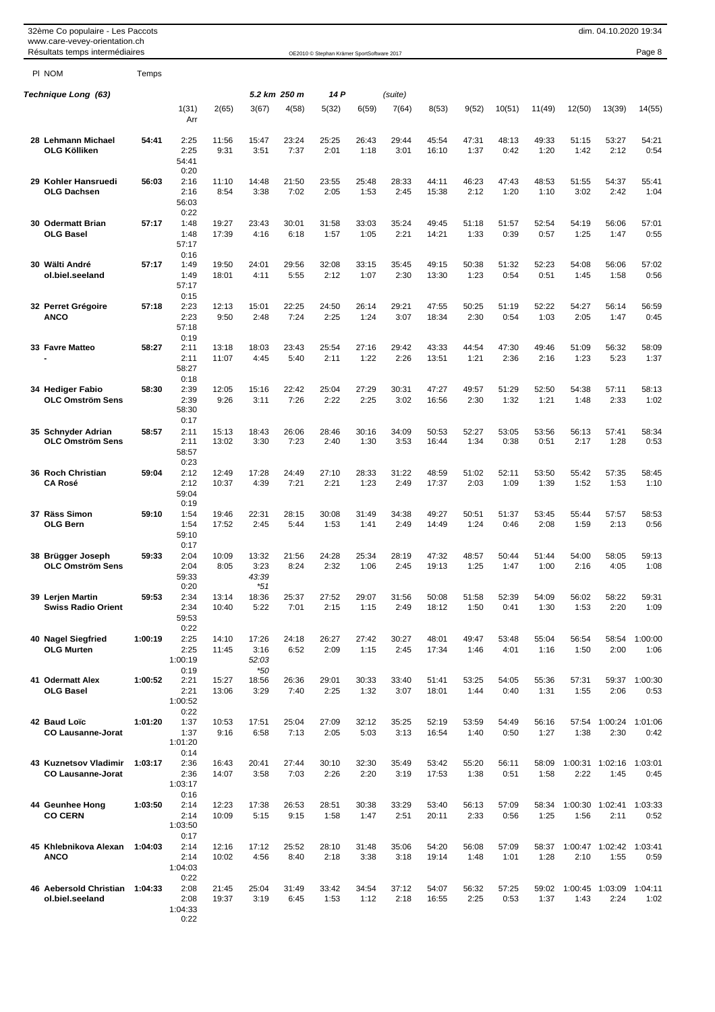| Résultats temps intermédiaires<br>Page 8<br>OE2010 © Stephan Krämer SportSoftware 2017<br>PI NOM<br>Temps<br>5.2 km 250 m<br>14 P<br>Technique Long (63)<br>(suite)<br>5(32)<br>1(31)<br>2(65)<br>3(67)<br>4(58)<br>6(59)<br>7(64)<br>8(53)<br>9(52)<br>10(51)<br>11(49)<br>12(50)<br>13(39)<br>14(55)<br>Arr<br>25:25<br>29:44<br>47:31<br>28 Lehmann Michael<br>54:41<br>2:25<br>11:56<br>23:24<br>26:43<br>45:54<br>48:13<br>49:33<br>51:15<br>53:27<br>54:21<br>15:47<br><b>OLG Kölliken</b><br>2:25<br>9:31<br>2:01<br>3:01<br>1:20<br>3:51<br>7:37<br>1:18<br>16:10<br>1:37<br>0:42<br>1:42<br>2:12<br>0:54<br>54:41<br>0:20<br>29 Kohler Hansruedi<br>2:16<br>23:55<br>25:48<br>28:33<br>46:23<br>47:43<br>48:53<br>54:37<br>56:03<br>11:10<br>14:48<br>21:50<br>44:11<br>51:55<br>55:41<br><b>OLG Dachsen</b><br>2:05<br>1:53<br>1:20<br>2:16<br>8:54<br>3:38<br>7:02<br>2:45<br>15:38<br>2:12<br>1:10<br>3:02<br>2:42<br>1:04<br>56:03<br>0:22<br>1:48<br>31:58<br>33:03<br>35:24<br>57:01<br>30 Odermatt Brian<br>57:17<br>19:27<br>23:43<br>30:01<br>49:45<br>51:18<br>51:57<br>52:54<br>54:19<br>56:06<br><b>OLG Basel</b><br>1:48<br>1:05<br>2:21<br>1:25<br>0:55<br>17:39<br>4:16<br>6:18<br>1:57<br>14:21<br>1:33<br>0:39<br>0:57<br>1:47<br>57:17<br>0:16<br>30 Wälti André<br>57:17<br>32:08<br>33:15<br>52:23<br>57:02<br>1:49<br>19:50<br>24:01<br>29:56<br>35:45<br>49:15<br>50:38<br>51:32<br>54:08<br>56:06<br>2:12<br>1:07<br>2:30<br>1:23<br>0:54<br>0:56<br>ol.biel.seeland<br>1:49<br>18:01<br>4:11<br>5:55<br>13:30<br>0:51<br>1:45<br>1:58<br>57:17<br>0:15<br>22:25<br>24:50<br>29:21<br>50:25<br>32 Perret Grégoire<br>57:18<br>2:23<br>12:13<br>15:01<br>26:14<br>47:55<br>51:19<br>52:22<br>54:27<br>56:14<br>56:59<br>2:23<br>7:24<br>2:25<br>1:24<br>3:07<br>2:30<br>2:05<br>0:45<br>ANCO<br>9:50<br>2:48<br>18:34<br>0:54<br>1:03<br>1:47<br>57:18<br>0:19<br>33 Favre Matteo<br>2:11<br>47:30<br>56:32<br>58:27<br>13:18<br>18:03<br>23:43<br>25:54<br>27:16<br>29:42<br>43:33<br>44:54<br>49:46<br>51:09<br>58:09<br>2:11<br>2:11<br>1:22<br>2:26<br>13:51<br>1:21<br>2:36<br>2:16<br>1:23<br>5:23<br>1:37<br>11:07<br>4:45<br>5:40<br>58:27<br>0:18<br>2:39<br>34 Hediger Fabio<br>58:30<br>12:05<br>15:16<br>22:42<br>25:04<br>27:29<br>30:31<br>47:27<br>49:57<br>51:29<br>52:50<br>54:38<br>57:11<br>58:13<br><b>OLC Omström Sens</b><br>2:39<br>9:26<br>7:26<br>2:22<br>2:25<br>3:02<br>2:30<br>1:32<br>1:21<br>2:33<br>1:02<br>3:11<br>16:56<br>1:48<br>58:30<br>0:17<br>2:11<br>35 Schnyder Adrian<br>58:57<br>15:13<br>18:43<br>26:06<br>28:46<br>30:16<br>34:09<br>50:53<br>52:27<br>53:05<br>53:56<br>56:13<br>57:41<br>58:34<br>2:11<br>3:30<br>7:23<br>2:40<br>1:30<br>3:53<br>1:34<br>0:38<br>0:51<br>1:28<br>0:53<br><b>OLC Omström Sens</b><br>13:02<br>16:44<br>2:17<br>58:57<br>0:23<br>36 Roch Christian<br>2:12<br>31:22<br>52:11<br>59:04<br>12:49<br>17:28<br>24:49<br>27:10<br>28:33<br>48:59<br>51:02<br>53:50<br>55:42<br>57:35<br>58:45<br>2:12<br>2:21<br>1:23<br>2:03<br><b>CA Rosé</b><br>10:37<br>4:39<br>7:21<br>2:49<br>17:37<br>1:09<br>1:39<br>1:52<br>1:53<br>1:10<br>59:04<br>0:19<br>37 Räss Simon<br>1:54<br>30:08<br>34:38<br>59:10<br>19:46<br>22:31<br>28:15<br>31:49<br>49:27<br>50:51<br>51:37<br>53:45<br>55:44<br>57:57<br>58:53<br><b>OLG Bern</b><br>2:45<br>2:49<br>2:08<br>1:54<br>17:52<br>5:44<br>1:53<br>1:41<br>14:49<br>1:24<br>0:46<br>1:59<br>2:13<br>0:56<br>59:10<br>0:17<br>38 Brügger Joseph<br>59:33<br>2:04<br>10:09<br>13:32<br>21:56<br>24:28<br>25:34<br>28:19<br>47:32<br>48:57<br>50:44<br>51:44<br>54:00<br>58:05<br>59:13<br>OLC Omström Sens<br>2:32<br>2:04<br>8:05<br>3:23<br>8:24<br>1:06<br>2:45<br>19:13<br>1:25<br>1:00<br>2:16<br>4:05<br>1:08<br>1:47<br>59:33<br>43:39<br>0:20<br>$*51$<br>2:34<br>18:36<br>29:07<br>59:31<br>39 Lerjen Martin<br>59:53<br>13:14<br>25:37<br>27:52<br>31:56<br>50:08<br>51:58<br>52:39<br>54:09<br>56:02<br>58:22<br><b>Swiss Radio Orient</b><br>2:34<br>5:22<br>2:15<br>2:49<br>1:30<br>1:53<br>2:20<br>1:09<br>10:40<br>7:01<br>1:15<br>18:12<br>1:50<br>0:41<br>59:53<br>0:22<br><b>40 Nagel Siegfried</b><br>1:00:19<br>2:25<br>30:27<br>1:00:00<br>14:10<br>17:26<br>24:18<br>26:27<br>27:42<br>48:01<br>49:47<br>53:48<br>55:04<br>56:54<br>58:54<br><b>OLG Murten</b><br>2:25<br>6:52<br>2:09<br>2:00<br>1:06<br>11:45<br>3:16<br>1:15<br>2:45<br>17:34<br>1:46<br>4:01<br>1:16<br>1:50<br>1:00:19<br>52:03<br>$*50$<br>0:19<br>1:00:52<br>2:21<br>29:01<br>30:33<br>33:40<br>53:25<br>54:05<br>59:37<br>1:00:30<br>41 Odermatt Alex<br>15:27<br>18:56<br>26:36<br>51:41<br>55:36<br>57:31<br><b>OLG Basel</b><br>2:21<br>13:06<br>3:29<br>7:40<br>2:25<br>1:32<br>3:07<br>18:01<br>1:31<br>1:55<br>2:06<br>0:53<br>1:44<br>0:40<br>1:00:52<br>0:22<br>42 Baud Loïc<br>1:01:20<br>1:37<br>27:09<br>32:12<br>35:25<br>52:19<br>1:00:24<br>1:01:06<br>10:53<br>17:51<br>25:04<br>53:59<br>54:49<br>56:16<br>57:54<br>1:37<br>2:05<br>5:03<br>1:27<br>1:38<br>2:30<br>0:42<br><b>CO Lausanne-Jorat</b><br>9:16<br>6:58<br>7:13<br>3:13<br>16:54<br>1:40<br>0:50<br>1:01:20<br>0:14<br>43 Kuznetsov Vladimir<br>1:03:17<br>2:36<br>20:41<br>27:44<br>30:10<br>32:30<br>35:49<br>1:00:31 1:02:16<br>1:03:01<br>16:43<br>53:42<br>55:20<br>56:11<br>58:09<br>2:36<br>14:07<br>7:03<br>2:26<br>2:20<br>17:53<br>0:51<br>1:58<br>2:22<br>1:45<br>0:45<br><b>CO Lausanne-Jorat</b><br>3:58<br>3:19<br>1:38<br>1:03:17<br>0:16<br>44 Geunhee Hong<br>1:03:50<br>2:14<br>12:23<br>17:38<br>26:53<br>28:51<br>30:38<br>33:29<br>53:40<br>57:09<br>1:00:30<br>1:02:41<br>1:03:33<br>56:13<br>58:34<br><b>CO CERN</b><br>2:14<br>2:51<br>20:11<br>2:33<br>1:25<br>2:11<br>0:52<br>10:09<br>5:15<br>9:15<br>1:58<br>1:47<br>0:56<br>1:56<br>1:03:50<br>0:17<br>35:06<br>1:02:42<br>45 Khlebnikova Alexan<br>1:04:03<br>2:14<br>12:16<br>17:12<br>25:52<br>28:10<br>31:48<br>54:20<br>56:08<br>57:09<br>58:37<br>1:00:47<br>1:03:41<br><b>ANCO</b><br>2:14<br>8:40<br>2:18<br>3:38<br>19:14<br>1:01<br>1:28<br>2:10<br>1:55<br>0:59<br>10:02<br>4:56<br>3:18<br>1:48<br>1:04:03<br>0:22<br>46 Aebersold Christian<br>2:08<br>34:54<br>1:04:11<br>1:04:33<br>21:45<br>25:04<br>31:49<br>33:42<br>37:12<br>54:07<br>56:32<br>57:25<br>59:02<br>1:00:45<br>1:03:09<br>ol.biel.seeland<br>2:08<br>1:53<br>1:12<br>2:18<br>2:25<br>0:53<br>1:37<br>2:24<br>1:02<br>19:37<br>3:19<br>6:45<br>16:55<br>1:43<br>1:04:33<br>0:22 |  | 32ème Co populaire - Les Paccots<br>www.care-vevey-orientation.ch |  |  |  |  |  |  | dim. 04.10.2020 19:34 |  |
|--------------------------------------------------------------------------------------------------------------------------------------------------------------------------------------------------------------------------------------------------------------------------------------------------------------------------------------------------------------------------------------------------------------------------------------------------------------------------------------------------------------------------------------------------------------------------------------------------------------------------------------------------------------------------------------------------------------------------------------------------------------------------------------------------------------------------------------------------------------------------------------------------------------------------------------------------------------------------------------------------------------------------------------------------------------------------------------------------------------------------------------------------------------------------------------------------------------------------------------------------------------------------------------------------------------------------------------------------------------------------------------------------------------------------------------------------------------------------------------------------------------------------------------------------------------------------------------------------------------------------------------------------------------------------------------------------------------------------------------------------------------------------------------------------------------------------------------------------------------------------------------------------------------------------------------------------------------------------------------------------------------------------------------------------------------------------------------------------------------------------------------------------------------------------------------------------------------------------------------------------------------------------------------------------------------------------------------------------------------------------------------------------------------------------------------------------------------------------------------------------------------------------------------------------------------------------------------------------------------------------------------------------------------------------------------------------------------------------------------------------------------------------------------------------------------------------------------------------------------------------------------------------------------------------------------------------------------------------------------------------------------------------------------------------------------------------------------------------------------------------------------------------------------------------------------------------------------------------------------------------------------------------------------------------------------------------------------------------------------------------------------------------------------------------------------------------------------------------------------------------------------------------------------------------------------------------------------------------------------------------------------------------------------------------------------------------------------------------------------------------------------------------------------------------------------------------------------------------------------------------------------------------------------------------------------------------------------------------------------------------------------------------------------------------------------------------------------------------------------------------------------------------------------------------------------------------------------------------------------------------------------------------------------------------------------------------------------------------------------------------------------------------------------------------------------------------------------------------------------------------------------------------------------------------------------------------------------------------------------------------------------------------------------------------------------------------------------------------------------------------------------------------------------------------------------------------------------------------------------------------------------------------------------------------------------------------------------------------------------------------------------------------------------------------------------------------------------------------------------------------------------------------------------------------------------------------------------------------------------------------------------------------------------------------------------------------------------------------------------------------------------------------------------------------------------------------------------------------------------------------------------------------------------------------------------------------------------------------------------------------------------------------------------------------------------------------------------------------------------------------------------------------------------------------------------------------------------------------------------------------------------------------------------------------------------------------------------------------------------------------------------------------------------------------------------------------------------------------------------------------------------------------------------------------------------------------------------------------------------------------------------------------------------------------------------------------------------------------------------------------------------------------------------------------------------------------------------------|--|-------------------------------------------------------------------|--|--|--|--|--|--|-----------------------|--|
|                                                                                                                                                                                                                                                                                                                                                                                                                                                                                                                                                                                                                                                                                                                                                                                                                                                                                                                                                                                                                                                                                                                                                                                                                                                                                                                                                                                                                                                                                                                                                                                                                                                                                                                                                                                                                                                                                                                                                                                                                                                                                                                                                                                                                                                                                                                                                                                                                                                                                                                                                                                                                                                                                                                                                                                                                                                                                                                                                                                                                                                                                                                                                                                                                                                                                                                                                                                                                                                                                                                                                                                                                                                                                                                                                                                                                                                                                                                                                                                                                                                                                                                                                                                                                                                                                                                                                                                                                                                                                                                                                                                                                                                                                                                                                                                                                                                                                                                                                                                                                                                                                                                                                                                                                                                                                                                                                                                                                                                                                                                                                                                                                                                                                                                                                                                                                                                                                                                                                                                                                                                                                                                                                                                                                                                                                                                                                                                                                                                                    |  |                                                                   |  |  |  |  |  |  |                       |  |
|                                                                                                                                                                                                                                                                                                                                                                                                                                                                                                                                                                                                                                                                                                                                                                                                                                                                                                                                                                                                                                                                                                                                                                                                                                                                                                                                                                                                                                                                                                                                                                                                                                                                                                                                                                                                                                                                                                                                                                                                                                                                                                                                                                                                                                                                                                                                                                                                                                                                                                                                                                                                                                                                                                                                                                                                                                                                                                                                                                                                                                                                                                                                                                                                                                                                                                                                                                                                                                                                                                                                                                                                                                                                                                                                                                                                                                                                                                                                                                                                                                                                                                                                                                                                                                                                                                                                                                                                                                                                                                                                                                                                                                                                                                                                                                                                                                                                                                                                                                                                                                                                                                                                                                                                                                                                                                                                                                                                                                                                                                                                                                                                                                                                                                                                                                                                                                                                                                                                                                                                                                                                                                                                                                                                                                                                                                                                                                                                                                                                    |  |                                                                   |  |  |  |  |  |  |                       |  |
|                                                                                                                                                                                                                                                                                                                                                                                                                                                                                                                                                                                                                                                                                                                                                                                                                                                                                                                                                                                                                                                                                                                                                                                                                                                                                                                                                                                                                                                                                                                                                                                                                                                                                                                                                                                                                                                                                                                                                                                                                                                                                                                                                                                                                                                                                                                                                                                                                                                                                                                                                                                                                                                                                                                                                                                                                                                                                                                                                                                                                                                                                                                                                                                                                                                                                                                                                                                                                                                                                                                                                                                                                                                                                                                                                                                                                                                                                                                                                                                                                                                                                                                                                                                                                                                                                                                                                                                                                                                                                                                                                                                                                                                                                                                                                                                                                                                                                                                                                                                                                                                                                                                                                                                                                                                                                                                                                                                                                                                                                                                                                                                                                                                                                                                                                                                                                                                                                                                                                                                                                                                                                                                                                                                                                                                                                                                                                                                                                                                                    |  |                                                                   |  |  |  |  |  |  |                       |  |
|                                                                                                                                                                                                                                                                                                                                                                                                                                                                                                                                                                                                                                                                                                                                                                                                                                                                                                                                                                                                                                                                                                                                                                                                                                                                                                                                                                                                                                                                                                                                                                                                                                                                                                                                                                                                                                                                                                                                                                                                                                                                                                                                                                                                                                                                                                                                                                                                                                                                                                                                                                                                                                                                                                                                                                                                                                                                                                                                                                                                                                                                                                                                                                                                                                                                                                                                                                                                                                                                                                                                                                                                                                                                                                                                                                                                                                                                                                                                                                                                                                                                                                                                                                                                                                                                                                                                                                                                                                                                                                                                                                                                                                                                                                                                                                                                                                                                                                                                                                                                                                                                                                                                                                                                                                                                                                                                                                                                                                                                                                                                                                                                                                                                                                                                                                                                                                                                                                                                                                                                                                                                                                                                                                                                                                                                                                                                                                                                                                                                    |  |                                                                   |  |  |  |  |  |  |                       |  |
|                                                                                                                                                                                                                                                                                                                                                                                                                                                                                                                                                                                                                                                                                                                                                                                                                                                                                                                                                                                                                                                                                                                                                                                                                                                                                                                                                                                                                                                                                                                                                                                                                                                                                                                                                                                                                                                                                                                                                                                                                                                                                                                                                                                                                                                                                                                                                                                                                                                                                                                                                                                                                                                                                                                                                                                                                                                                                                                                                                                                                                                                                                                                                                                                                                                                                                                                                                                                                                                                                                                                                                                                                                                                                                                                                                                                                                                                                                                                                                                                                                                                                                                                                                                                                                                                                                                                                                                                                                                                                                                                                                                                                                                                                                                                                                                                                                                                                                                                                                                                                                                                                                                                                                                                                                                                                                                                                                                                                                                                                                                                                                                                                                                                                                                                                                                                                                                                                                                                                                                                                                                                                                                                                                                                                                                                                                                                                                                                                                                                    |  |                                                                   |  |  |  |  |  |  |                       |  |
|                                                                                                                                                                                                                                                                                                                                                                                                                                                                                                                                                                                                                                                                                                                                                                                                                                                                                                                                                                                                                                                                                                                                                                                                                                                                                                                                                                                                                                                                                                                                                                                                                                                                                                                                                                                                                                                                                                                                                                                                                                                                                                                                                                                                                                                                                                                                                                                                                                                                                                                                                                                                                                                                                                                                                                                                                                                                                                                                                                                                                                                                                                                                                                                                                                                                                                                                                                                                                                                                                                                                                                                                                                                                                                                                                                                                                                                                                                                                                                                                                                                                                                                                                                                                                                                                                                                                                                                                                                                                                                                                                                                                                                                                                                                                                                                                                                                                                                                                                                                                                                                                                                                                                                                                                                                                                                                                                                                                                                                                                                                                                                                                                                                                                                                                                                                                                                                                                                                                                                                                                                                                                                                                                                                                                                                                                                                                                                                                                                                                    |  |                                                                   |  |  |  |  |  |  |                       |  |
|                                                                                                                                                                                                                                                                                                                                                                                                                                                                                                                                                                                                                                                                                                                                                                                                                                                                                                                                                                                                                                                                                                                                                                                                                                                                                                                                                                                                                                                                                                                                                                                                                                                                                                                                                                                                                                                                                                                                                                                                                                                                                                                                                                                                                                                                                                                                                                                                                                                                                                                                                                                                                                                                                                                                                                                                                                                                                                                                                                                                                                                                                                                                                                                                                                                                                                                                                                                                                                                                                                                                                                                                                                                                                                                                                                                                                                                                                                                                                                                                                                                                                                                                                                                                                                                                                                                                                                                                                                                                                                                                                                                                                                                                                                                                                                                                                                                                                                                                                                                                                                                                                                                                                                                                                                                                                                                                                                                                                                                                                                                                                                                                                                                                                                                                                                                                                                                                                                                                                                                                                                                                                                                                                                                                                                                                                                                                                                                                                                                                    |  |                                                                   |  |  |  |  |  |  |                       |  |
|                                                                                                                                                                                                                                                                                                                                                                                                                                                                                                                                                                                                                                                                                                                                                                                                                                                                                                                                                                                                                                                                                                                                                                                                                                                                                                                                                                                                                                                                                                                                                                                                                                                                                                                                                                                                                                                                                                                                                                                                                                                                                                                                                                                                                                                                                                                                                                                                                                                                                                                                                                                                                                                                                                                                                                                                                                                                                                                                                                                                                                                                                                                                                                                                                                                                                                                                                                                                                                                                                                                                                                                                                                                                                                                                                                                                                                                                                                                                                                                                                                                                                                                                                                                                                                                                                                                                                                                                                                                                                                                                                                                                                                                                                                                                                                                                                                                                                                                                                                                                                                                                                                                                                                                                                                                                                                                                                                                                                                                                                                                                                                                                                                                                                                                                                                                                                                                                                                                                                                                                                                                                                                                                                                                                                                                                                                                                                                                                                                                                    |  |                                                                   |  |  |  |  |  |  |                       |  |
|                                                                                                                                                                                                                                                                                                                                                                                                                                                                                                                                                                                                                                                                                                                                                                                                                                                                                                                                                                                                                                                                                                                                                                                                                                                                                                                                                                                                                                                                                                                                                                                                                                                                                                                                                                                                                                                                                                                                                                                                                                                                                                                                                                                                                                                                                                                                                                                                                                                                                                                                                                                                                                                                                                                                                                                                                                                                                                                                                                                                                                                                                                                                                                                                                                                                                                                                                                                                                                                                                                                                                                                                                                                                                                                                                                                                                                                                                                                                                                                                                                                                                                                                                                                                                                                                                                                                                                                                                                                                                                                                                                                                                                                                                                                                                                                                                                                                                                                                                                                                                                                                                                                                                                                                                                                                                                                                                                                                                                                                                                                                                                                                                                                                                                                                                                                                                                                                                                                                                                                                                                                                                                                                                                                                                                                                                                                                                                                                                                                                    |  |                                                                   |  |  |  |  |  |  |                       |  |
|                                                                                                                                                                                                                                                                                                                                                                                                                                                                                                                                                                                                                                                                                                                                                                                                                                                                                                                                                                                                                                                                                                                                                                                                                                                                                                                                                                                                                                                                                                                                                                                                                                                                                                                                                                                                                                                                                                                                                                                                                                                                                                                                                                                                                                                                                                                                                                                                                                                                                                                                                                                                                                                                                                                                                                                                                                                                                                                                                                                                                                                                                                                                                                                                                                                                                                                                                                                                                                                                                                                                                                                                                                                                                                                                                                                                                                                                                                                                                                                                                                                                                                                                                                                                                                                                                                                                                                                                                                                                                                                                                                                                                                                                                                                                                                                                                                                                                                                                                                                                                                                                                                                                                                                                                                                                                                                                                                                                                                                                                                                                                                                                                                                                                                                                                                                                                                                                                                                                                                                                                                                                                                                                                                                                                                                                                                                                                                                                                                                                    |  |                                                                   |  |  |  |  |  |  |                       |  |
|                                                                                                                                                                                                                                                                                                                                                                                                                                                                                                                                                                                                                                                                                                                                                                                                                                                                                                                                                                                                                                                                                                                                                                                                                                                                                                                                                                                                                                                                                                                                                                                                                                                                                                                                                                                                                                                                                                                                                                                                                                                                                                                                                                                                                                                                                                                                                                                                                                                                                                                                                                                                                                                                                                                                                                                                                                                                                                                                                                                                                                                                                                                                                                                                                                                                                                                                                                                                                                                                                                                                                                                                                                                                                                                                                                                                                                                                                                                                                                                                                                                                                                                                                                                                                                                                                                                                                                                                                                                                                                                                                                                                                                                                                                                                                                                                                                                                                                                                                                                                                                                                                                                                                                                                                                                                                                                                                                                                                                                                                                                                                                                                                                                                                                                                                                                                                                                                                                                                                                                                                                                                                                                                                                                                                                                                                                                                                                                                                                                                    |  |                                                                   |  |  |  |  |  |  |                       |  |
|                                                                                                                                                                                                                                                                                                                                                                                                                                                                                                                                                                                                                                                                                                                                                                                                                                                                                                                                                                                                                                                                                                                                                                                                                                                                                                                                                                                                                                                                                                                                                                                                                                                                                                                                                                                                                                                                                                                                                                                                                                                                                                                                                                                                                                                                                                                                                                                                                                                                                                                                                                                                                                                                                                                                                                                                                                                                                                                                                                                                                                                                                                                                                                                                                                                                                                                                                                                                                                                                                                                                                                                                                                                                                                                                                                                                                                                                                                                                                                                                                                                                                                                                                                                                                                                                                                                                                                                                                                                                                                                                                                                                                                                                                                                                                                                                                                                                                                                                                                                                                                                                                                                                                                                                                                                                                                                                                                                                                                                                                                                                                                                                                                                                                                                                                                                                                                                                                                                                                                                                                                                                                                                                                                                                                                                                                                                                                                                                                                                                    |  |                                                                   |  |  |  |  |  |  |                       |  |
|                                                                                                                                                                                                                                                                                                                                                                                                                                                                                                                                                                                                                                                                                                                                                                                                                                                                                                                                                                                                                                                                                                                                                                                                                                                                                                                                                                                                                                                                                                                                                                                                                                                                                                                                                                                                                                                                                                                                                                                                                                                                                                                                                                                                                                                                                                                                                                                                                                                                                                                                                                                                                                                                                                                                                                                                                                                                                                                                                                                                                                                                                                                                                                                                                                                                                                                                                                                                                                                                                                                                                                                                                                                                                                                                                                                                                                                                                                                                                                                                                                                                                                                                                                                                                                                                                                                                                                                                                                                                                                                                                                                                                                                                                                                                                                                                                                                                                                                                                                                                                                                                                                                                                                                                                                                                                                                                                                                                                                                                                                                                                                                                                                                                                                                                                                                                                                                                                                                                                                                                                                                                                                                                                                                                                                                                                                                                                                                                                                                                    |  |                                                                   |  |  |  |  |  |  |                       |  |
|                                                                                                                                                                                                                                                                                                                                                                                                                                                                                                                                                                                                                                                                                                                                                                                                                                                                                                                                                                                                                                                                                                                                                                                                                                                                                                                                                                                                                                                                                                                                                                                                                                                                                                                                                                                                                                                                                                                                                                                                                                                                                                                                                                                                                                                                                                                                                                                                                                                                                                                                                                                                                                                                                                                                                                                                                                                                                                                                                                                                                                                                                                                                                                                                                                                                                                                                                                                                                                                                                                                                                                                                                                                                                                                                                                                                                                                                                                                                                                                                                                                                                                                                                                                                                                                                                                                                                                                                                                                                                                                                                                                                                                                                                                                                                                                                                                                                                                                                                                                                                                                                                                                                                                                                                                                                                                                                                                                                                                                                                                                                                                                                                                                                                                                                                                                                                                                                                                                                                                                                                                                                                                                                                                                                                                                                                                                                                                                                                                                                    |  |                                                                   |  |  |  |  |  |  |                       |  |
|                                                                                                                                                                                                                                                                                                                                                                                                                                                                                                                                                                                                                                                                                                                                                                                                                                                                                                                                                                                                                                                                                                                                                                                                                                                                                                                                                                                                                                                                                                                                                                                                                                                                                                                                                                                                                                                                                                                                                                                                                                                                                                                                                                                                                                                                                                                                                                                                                                                                                                                                                                                                                                                                                                                                                                                                                                                                                                                                                                                                                                                                                                                                                                                                                                                                                                                                                                                                                                                                                                                                                                                                                                                                                                                                                                                                                                                                                                                                                                                                                                                                                                                                                                                                                                                                                                                                                                                                                                                                                                                                                                                                                                                                                                                                                                                                                                                                                                                                                                                                                                                                                                                                                                                                                                                                                                                                                                                                                                                                                                                                                                                                                                                                                                                                                                                                                                                                                                                                                                                                                                                                                                                                                                                                                                                                                                                                                                                                                                                                    |  |                                                                   |  |  |  |  |  |  |                       |  |
|                                                                                                                                                                                                                                                                                                                                                                                                                                                                                                                                                                                                                                                                                                                                                                                                                                                                                                                                                                                                                                                                                                                                                                                                                                                                                                                                                                                                                                                                                                                                                                                                                                                                                                                                                                                                                                                                                                                                                                                                                                                                                                                                                                                                                                                                                                                                                                                                                                                                                                                                                                                                                                                                                                                                                                                                                                                                                                                                                                                                                                                                                                                                                                                                                                                                                                                                                                                                                                                                                                                                                                                                                                                                                                                                                                                                                                                                                                                                                                                                                                                                                                                                                                                                                                                                                                                                                                                                                                                                                                                                                                                                                                                                                                                                                                                                                                                                                                                                                                                                                                                                                                                                                                                                                                                                                                                                                                                                                                                                                                                                                                                                                                                                                                                                                                                                                                                                                                                                                                                                                                                                                                                                                                                                                                                                                                                                                                                                                                                                    |  |                                                                   |  |  |  |  |  |  |                       |  |
|                                                                                                                                                                                                                                                                                                                                                                                                                                                                                                                                                                                                                                                                                                                                                                                                                                                                                                                                                                                                                                                                                                                                                                                                                                                                                                                                                                                                                                                                                                                                                                                                                                                                                                                                                                                                                                                                                                                                                                                                                                                                                                                                                                                                                                                                                                                                                                                                                                                                                                                                                                                                                                                                                                                                                                                                                                                                                                                                                                                                                                                                                                                                                                                                                                                                                                                                                                                                                                                                                                                                                                                                                                                                                                                                                                                                                                                                                                                                                                                                                                                                                                                                                                                                                                                                                                                                                                                                                                                                                                                                                                                                                                                                                                                                                                                                                                                                                                                                                                                                                                                                                                                                                                                                                                                                                                                                                                                                                                                                                                                                                                                                                                                                                                                                                                                                                                                                                                                                                                                                                                                                                                                                                                                                                                                                                                                                                                                                                                                                    |  |                                                                   |  |  |  |  |  |  |                       |  |
|                                                                                                                                                                                                                                                                                                                                                                                                                                                                                                                                                                                                                                                                                                                                                                                                                                                                                                                                                                                                                                                                                                                                                                                                                                                                                                                                                                                                                                                                                                                                                                                                                                                                                                                                                                                                                                                                                                                                                                                                                                                                                                                                                                                                                                                                                                                                                                                                                                                                                                                                                                                                                                                                                                                                                                                                                                                                                                                                                                                                                                                                                                                                                                                                                                                                                                                                                                                                                                                                                                                                                                                                                                                                                                                                                                                                                                                                                                                                                                                                                                                                                                                                                                                                                                                                                                                                                                                                                                                                                                                                                                                                                                                                                                                                                                                                                                                                                                                                                                                                                                                                                                                                                                                                                                                                                                                                                                                                                                                                                                                                                                                                                                                                                                                                                                                                                                                                                                                                                                                                                                                                                                                                                                                                                                                                                                                                                                                                                                                                    |  |                                                                   |  |  |  |  |  |  |                       |  |
|                                                                                                                                                                                                                                                                                                                                                                                                                                                                                                                                                                                                                                                                                                                                                                                                                                                                                                                                                                                                                                                                                                                                                                                                                                                                                                                                                                                                                                                                                                                                                                                                                                                                                                                                                                                                                                                                                                                                                                                                                                                                                                                                                                                                                                                                                                                                                                                                                                                                                                                                                                                                                                                                                                                                                                                                                                                                                                                                                                                                                                                                                                                                                                                                                                                                                                                                                                                                                                                                                                                                                                                                                                                                                                                                                                                                                                                                                                                                                                                                                                                                                                                                                                                                                                                                                                                                                                                                                                                                                                                                                                                                                                                                                                                                                                                                                                                                                                                                                                                                                                                                                                                                                                                                                                                                                                                                                                                                                                                                                                                                                                                                                                                                                                                                                                                                                                                                                                                                                                                                                                                                                                                                                                                                                                                                                                                                                                                                                                                                    |  |                                                                   |  |  |  |  |  |  |                       |  |
|                                                                                                                                                                                                                                                                                                                                                                                                                                                                                                                                                                                                                                                                                                                                                                                                                                                                                                                                                                                                                                                                                                                                                                                                                                                                                                                                                                                                                                                                                                                                                                                                                                                                                                                                                                                                                                                                                                                                                                                                                                                                                                                                                                                                                                                                                                                                                                                                                                                                                                                                                                                                                                                                                                                                                                                                                                                                                                                                                                                                                                                                                                                                                                                                                                                                                                                                                                                                                                                                                                                                                                                                                                                                                                                                                                                                                                                                                                                                                                                                                                                                                                                                                                                                                                                                                                                                                                                                                                                                                                                                                                                                                                                                                                                                                                                                                                                                                                                                                                                                                                                                                                                                                                                                                                                                                                                                                                                                                                                                                                                                                                                                                                                                                                                                                                                                                                                                                                                                                                                                                                                                                                                                                                                                                                                                                                                                                                                                                                                                    |  |                                                                   |  |  |  |  |  |  |                       |  |
|                                                                                                                                                                                                                                                                                                                                                                                                                                                                                                                                                                                                                                                                                                                                                                                                                                                                                                                                                                                                                                                                                                                                                                                                                                                                                                                                                                                                                                                                                                                                                                                                                                                                                                                                                                                                                                                                                                                                                                                                                                                                                                                                                                                                                                                                                                                                                                                                                                                                                                                                                                                                                                                                                                                                                                                                                                                                                                                                                                                                                                                                                                                                                                                                                                                                                                                                                                                                                                                                                                                                                                                                                                                                                                                                                                                                                                                                                                                                                                                                                                                                                                                                                                                                                                                                                                                                                                                                                                                                                                                                                                                                                                                                                                                                                                                                                                                                                                                                                                                                                                                                                                                                                                                                                                                                                                                                                                                                                                                                                                                                                                                                                                                                                                                                                                                                                                                                                                                                                                                                                                                                                                                                                                                                                                                                                                                                                                                                                                                                    |  |                                                                   |  |  |  |  |  |  |                       |  |
|                                                                                                                                                                                                                                                                                                                                                                                                                                                                                                                                                                                                                                                                                                                                                                                                                                                                                                                                                                                                                                                                                                                                                                                                                                                                                                                                                                                                                                                                                                                                                                                                                                                                                                                                                                                                                                                                                                                                                                                                                                                                                                                                                                                                                                                                                                                                                                                                                                                                                                                                                                                                                                                                                                                                                                                                                                                                                                                                                                                                                                                                                                                                                                                                                                                                                                                                                                                                                                                                                                                                                                                                                                                                                                                                                                                                                                                                                                                                                                                                                                                                                                                                                                                                                                                                                                                                                                                                                                                                                                                                                                                                                                                                                                                                                                                                                                                                                                                                                                                                                                                                                                                                                                                                                                                                                                                                                                                                                                                                                                                                                                                                                                                                                                                                                                                                                                                                                                                                                                                                                                                                                                                                                                                                                                                                                                                                                                                                                                                                    |  |                                                                   |  |  |  |  |  |  |                       |  |
|                                                                                                                                                                                                                                                                                                                                                                                                                                                                                                                                                                                                                                                                                                                                                                                                                                                                                                                                                                                                                                                                                                                                                                                                                                                                                                                                                                                                                                                                                                                                                                                                                                                                                                                                                                                                                                                                                                                                                                                                                                                                                                                                                                                                                                                                                                                                                                                                                                                                                                                                                                                                                                                                                                                                                                                                                                                                                                                                                                                                                                                                                                                                                                                                                                                                                                                                                                                                                                                                                                                                                                                                                                                                                                                                                                                                                                                                                                                                                                                                                                                                                                                                                                                                                                                                                                                                                                                                                                                                                                                                                                                                                                                                                                                                                                                                                                                                                                                                                                                                                                                                                                                                                                                                                                                                                                                                                                                                                                                                                                                                                                                                                                                                                                                                                                                                                                                                                                                                                                                                                                                                                                                                                                                                                                                                                                                                                                                                                                                                    |  |                                                                   |  |  |  |  |  |  |                       |  |
|                                                                                                                                                                                                                                                                                                                                                                                                                                                                                                                                                                                                                                                                                                                                                                                                                                                                                                                                                                                                                                                                                                                                                                                                                                                                                                                                                                                                                                                                                                                                                                                                                                                                                                                                                                                                                                                                                                                                                                                                                                                                                                                                                                                                                                                                                                                                                                                                                                                                                                                                                                                                                                                                                                                                                                                                                                                                                                                                                                                                                                                                                                                                                                                                                                                                                                                                                                                                                                                                                                                                                                                                                                                                                                                                                                                                                                                                                                                                                                                                                                                                                                                                                                                                                                                                                                                                                                                                                                                                                                                                                                                                                                                                                                                                                                                                                                                                                                                                                                                                                                                                                                                                                                                                                                                                                                                                                                                                                                                                                                                                                                                                                                                                                                                                                                                                                                                                                                                                                                                                                                                                                                                                                                                                                                                                                                                                                                                                                                                                    |  |                                                                   |  |  |  |  |  |  |                       |  |
|                                                                                                                                                                                                                                                                                                                                                                                                                                                                                                                                                                                                                                                                                                                                                                                                                                                                                                                                                                                                                                                                                                                                                                                                                                                                                                                                                                                                                                                                                                                                                                                                                                                                                                                                                                                                                                                                                                                                                                                                                                                                                                                                                                                                                                                                                                                                                                                                                                                                                                                                                                                                                                                                                                                                                                                                                                                                                                                                                                                                                                                                                                                                                                                                                                                                                                                                                                                                                                                                                                                                                                                                                                                                                                                                                                                                                                                                                                                                                                                                                                                                                                                                                                                                                                                                                                                                                                                                                                                                                                                                                                                                                                                                                                                                                                                                                                                                                                                                                                                                                                                                                                                                                                                                                                                                                                                                                                                                                                                                                                                                                                                                                                                                                                                                                                                                                                                                                                                                                                                                                                                                                                                                                                                                                                                                                                                                                                                                                                                                    |  |                                                                   |  |  |  |  |  |  |                       |  |
|                                                                                                                                                                                                                                                                                                                                                                                                                                                                                                                                                                                                                                                                                                                                                                                                                                                                                                                                                                                                                                                                                                                                                                                                                                                                                                                                                                                                                                                                                                                                                                                                                                                                                                                                                                                                                                                                                                                                                                                                                                                                                                                                                                                                                                                                                                                                                                                                                                                                                                                                                                                                                                                                                                                                                                                                                                                                                                                                                                                                                                                                                                                                                                                                                                                                                                                                                                                                                                                                                                                                                                                                                                                                                                                                                                                                                                                                                                                                                                                                                                                                                                                                                                                                                                                                                                                                                                                                                                                                                                                                                                                                                                                                                                                                                                                                                                                                                                                                                                                                                                                                                                                                                                                                                                                                                                                                                                                                                                                                                                                                                                                                                                                                                                                                                                                                                                                                                                                                                                                                                                                                                                                                                                                                                                                                                                                                                                                                                                                                    |  |                                                                   |  |  |  |  |  |  |                       |  |
|                                                                                                                                                                                                                                                                                                                                                                                                                                                                                                                                                                                                                                                                                                                                                                                                                                                                                                                                                                                                                                                                                                                                                                                                                                                                                                                                                                                                                                                                                                                                                                                                                                                                                                                                                                                                                                                                                                                                                                                                                                                                                                                                                                                                                                                                                                                                                                                                                                                                                                                                                                                                                                                                                                                                                                                                                                                                                                                                                                                                                                                                                                                                                                                                                                                                                                                                                                                                                                                                                                                                                                                                                                                                                                                                                                                                                                                                                                                                                                                                                                                                                                                                                                                                                                                                                                                                                                                                                                                                                                                                                                                                                                                                                                                                                                                                                                                                                                                                                                                                                                                                                                                                                                                                                                                                                                                                                                                                                                                                                                                                                                                                                                                                                                                                                                                                                                                                                                                                                                                                                                                                                                                                                                                                                                                                                                                                                                                                                                                                    |  |                                                                   |  |  |  |  |  |  |                       |  |
|                                                                                                                                                                                                                                                                                                                                                                                                                                                                                                                                                                                                                                                                                                                                                                                                                                                                                                                                                                                                                                                                                                                                                                                                                                                                                                                                                                                                                                                                                                                                                                                                                                                                                                                                                                                                                                                                                                                                                                                                                                                                                                                                                                                                                                                                                                                                                                                                                                                                                                                                                                                                                                                                                                                                                                                                                                                                                                                                                                                                                                                                                                                                                                                                                                                                                                                                                                                                                                                                                                                                                                                                                                                                                                                                                                                                                                                                                                                                                                                                                                                                                                                                                                                                                                                                                                                                                                                                                                                                                                                                                                                                                                                                                                                                                                                                                                                                                                                                                                                                                                                                                                                                                                                                                                                                                                                                                                                                                                                                                                                                                                                                                                                                                                                                                                                                                                                                                                                                                                                                                                                                                                                                                                                                                                                                                                                                                                                                                                                                    |  |                                                                   |  |  |  |  |  |  |                       |  |
|                                                                                                                                                                                                                                                                                                                                                                                                                                                                                                                                                                                                                                                                                                                                                                                                                                                                                                                                                                                                                                                                                                                                                                                                                                                                                                                                                                                                                                                                                                                                                                                                                                                                                                                                                                                                                                                                                                                                                                                                                                                                                                                                                                                                                                                                                                                                                                                                                                                                                                                                                                                                                                                                                                                                                                                                                                                                                                                                                                                                                                                                                                                                                                                                                                                                                                                                                                                                                                                                                                                                                                                                                                                                                                                                                                                                                                                                                                                                                                                                                                                                                                                                                                                                                                                                                                                                                                                                                                                                                                                                                                                                                                                                                                                                                                                                                                                                                                                                                                                                                                                                                                                                                                                                                                                                                                                                                                                                                                                                                                                                                                                                                                                                                                                                                                                                                                                                                                                                                                                                                                                                                                                                                                                                                                                                                                                                                                                                                                                                    |  |                                                                   |  |  |  |  |  |  |                       |  |
|                                                                                                                                                                                                                                                                                                                                                                                                                                                                                                                                                                                                                                                                                                                                                                                                                                                                                                                                                                                                                                                                                                                                                                                                                                                                                                                                                                                                                                                                                                                                                                                                                                                                                                                                                                                                                                                                                                                                                                                                                                                                                                                                                                                                                                                                                                                                                                                                                                                                                                                                                                                                                                                                                                                                                                                                                                                                                                                                                                                                                                                                                                                                                                                                                                                                                                                                                                                                                                                                                                                                                                                                                                                                                                                                                                                                                                                                                                                                                                                                                                                                                                                                                                                                                                                                                                                                                                                                                                                                                                                                                                                                                                                                                                                                                                                                                                                                                                                                                                                                                                                                                                                                                                                                                                                                                                                                                                                                                                                                                                                                                                                                                                                                                                                                                                                                                                                                                                                                                                                                                                                                                                                                                                                                                                                                                                                                                                                                                                                                    |  |                                                                   |  |  |  |  |  |  |                       |  |
|                                                                                                                                                                                                                                                                                                                                                                                                                                                                                                                                                                                                                                                                                                                                                                                                                                                                                                                                                                                                                                                                                                                                                                                                                                                                                                                                                                                                                                                                                                                                                                                                                                                                                                                                                                                                                                                                                                                                                                                                                                                                                                                                                                                                                                                                                                                                                                                                                                                                                                                                                                                                                                                                                                                                                                                                                                                                                                                                                                                                                                                                                                                                                                                                                                                                                                                                                                                                                                                                                                                                                                                                                                                                                                                                                                                                                                                                                                                                                                                                                                                                                                                                                                                                                                                                                                                                                                                                                                                                                                                                                                                                                                                                                                                                                                                                                                                                                                                                                                                                                                                                                                                                                                                                                                                                                                                                                                                                                                                                                                                                                                                                                                                                                                                                                                                                                                                                                                                                                                                                                                                                                                                                                                                                                                                                                                                                                                                                                                                                    |  |                                                                   |  |  |  |  |  |  |                       |  |
|                                                                                                                                                                                                                                                                                                                                                                                                                                                                                                                                                                                                                                                                                                                                                                                                                                                                                                                                                                                                                                                                                                                                                                                                                                                                                                                                                                                                                                                                                                                                                                                                                                                                                                                                                                                                                                                                                                                                                                                                                                                                                                                                                                                                                                                                                                                                                                                                                                                                                                                                                                                                                                                                                                                                                                                                                                                                                                                                                                                                                                                                                                                                                                                                                                                                                                                                                                                                                                                                                                                                                                                                                                                                                                                                                                                                                                                                                                                                                                                                                                                                                                                                                                                                                                                                                                                                                                                                                                                                                                                                                                                                                                                                                                                                                                                                                                                                                                                                                                                                                                                                                                                                                                                                                                                                                                                                                                                                                                                                                                                                                                                                                                                                                                                                                                                                                                                                                                                                                                                                                                                                                                                                                                                                                                                                                                                                                                                                                                                                    |  |                                                                   |  |  |  |  |  |  |                       |  |
|                                                                                                                                                                                                                                                                                                                                                                                                                                                                                                                                                                                                                                                                                                                                                                                                                                                                                                                                                                                                                                                                                                                                                                                                                                                                                                                                                                                                                                                                                                                                                                                                                                                                                                                                                                                                                                                                                                                                                                                                                                                                                                                                                                                                                                                                                                                                                                                                                                                                                                                                                                                                                                                                                                                                                                                                                                                                                                                                                                                                                                                                                                                                                                                                                                                                                                                                                                                                                                                                                                                                                                                                                                                                                                                                                                                                                                                                                                                                                                                                                                                                                                                                                                                                                                                                                                                                                                                                                                                                                                                                                                                                                                                                                                                                                                                                                                                                                                                                                                                                                                                                                                                                                                                                                                                                                                                                                                                                                                                                                                                                                                                                                                                                                                                                                                                                                                                                                                                                                                                                                                                                                                                                                                                                                                                                                                                                                                                                                                                                    |  |                                                                   |  |  |  |  |  |  |                       |  |
|                                                                                                                                                                                                                                                                                                                                                                                                                                                                                                                                                                                                                                                                                                                                                                                                                                                                                                                                                                                                                                                                                                                                                                                                                                                                                                                                                                                                                                                                                                                                                                                                                                                                                                                                                                                                                                                                                                                                                                                                                                                                                                                                                                                                                                                                                                                                                                                                                                                                                                                                                                                                                                                                                                                                                                                                                                                                                                                                                                                                                                                                                                                                                                                                                                                                                                                                                                                                                                                                                                                                                                                                                                                                                                                                                                                                                                                                                                                                                                                                                                                                                                                                                                                                                                                                                                                                                                                                                                                                                                                                                                                                                                                                                                                                                                                                                                                                                                                                                                                                                                                                                                                                                                                                                                                                                                                                                                                                                                                                                                                                                                                                                                                                                                                                                                                                                                                                                                                                                                                                                                                                                                                                                                                                                                                                                                                                                                                                                                                                    |  |                                                                   |  |  |  |  |  |  |                       |  |
|                                                                                                                                                                                                                                                                                                                                                                                                                                                                                                                                                                                                                                                                                                                                                                                                                                                                                                                                                                                                                                                                                                                                                                                                                                                                                                                                                                                                                                                                                                                                                                                                                                                                                                                                                                                                                                                                                                                                                                                                                                                                                                                                                                                                                                                                                                                                                                                                                                                                                                                                                                                                                                                                                                                                                                                                                                                                                                                                                                                                                                                                                                                                                                                                                                                                                                                                                                                                                                                                                                                                                                                                                                                                                                                                                                                                                                                                                                                                                                                                                                                                                                                                                                                                                                                                                                                                                                                                                                                                                                                                                                                                                                                                                                                                                                                                                                                                                                                                                                                                                                                                                                                                                                                                                                                                                                                                                                                                                                                                                                                                                                                                                                                                                                                                                                                                                                                                                                                                                                                                                                                                                                                                                                                                                                                                                                                                                                                                                                                                    |  |                                                                   |  |  |  |  |  |  |                       |  |
|                                                                                                                                                                                                                                                                                                                                                                                                                                                                                                                                                                                                                                                                                                                                                                                                                                                                                                                                                                                                                                                                                                                                                                                                                                                                                                                                                                                                                                                                                                                                                                                                                                                                                                                                                                                                                                                                                                                                                                                                                                                                                                                                                                                                                                                                                                                                                                                                                                                                                                                                                                                                                                                                                                                                                                                                                                                                                                                                                                                                                                                                                                                                                                                                                                                                                                                                                                                                                                                                                                                                                                                                                                                                                                                                                                                                                                                                                                                                                                                                                                                                                                                                                                                                                                                                                                                                                                                                                                                                                                                                                                                                                                                                                                                                                                                                                                                                                                                                                                                                                                                                                                                                                                                                                                                                                                                                                                                                                                                                                                                                                                                                                                                                                                                                                                                                                                                                                                                                                                                                                                                                                                                                                                                                                                                                                                                                                                                                                                                                    |  |                                                                   |  |  |  |  |  |  |                       |  |
|                                                                                                                                                                                                                                                                                                                                                                                                                                                                                                                                                                                                                                                                                                                                                                                                                                                                                                                                                                                                                                                                                                                                                                                                                                                                                                                                                                                                                                                                                                                                                                                                                                                                                                                                                                                                                                                                                                                                                                                                                                                                                                                                                                                                                                                                                                                                                                                                                                                                                                                                                                                                                                                                                                                                                                                                                                                                                                                                                                                                                                                                                                                                                                                                                                                                                                                                                                                                                                                                                                                                                                                                                                                                                                                                                                                                                                                                                                                                                                                                                                                                                                                                                                                                                                                                                                                                                                                                                                                                                                                                                                                                                                                                                                                                                                                                                                                                                                                                                                                                                                                                                                                                                                                                                                                                                                                                                                                                                                                                                                                                                                                                                                                                                                                                                                                                                                                                                                                                                                                                                                                                                                                                                                                                                                                                                                                                                                                                                                                                    |  |                                                                   |  |  |  |  |  |  |                       |  |
|                                                                                                                                                                                                                                                                                                                                                                                                                                                                                                                                                                                                                                                                                                                                                                                                                                                                                                                                                                                                                                                                                                                                                                                                                                                                                                                                                                                                                                                                                                                                                                                                                                                                                                                                                                                                                                                                                                                                                                                                                                                                                                                                                                                                                                                                                                                                                                                                                                                                                                                                                                                                                                                                                                                                                                                                                                                                                                                                                                                                                                                                                                                                                                                                                                                                                                                                                                                                                                                                                                                                                                                                                                                                                                                                                                                                                                                                                                                                                                                                                                                                                                                                                                                                                                                                                                                                                                                                                                                                                                                                                                                                                                                                                                                                                                                                                                                                                                                                                                                                                                                                                                                                                                                                                                                                                                                                                                                                                                                                                                                                                                                                                                                                                                                                                                                                                                                                                                                                                                                                                                                                                                                                                                                                                                                                                                                                                                                                                                                                    |  |                                                                   |  |  |  |  |  |  |                       |  |
|                                                                                                                                                                                                                                                                                                                                                                                                                                                                                                                                                                                                                                                                                                                                                                                                                                                                                                                                                                                                                                                                                                                                                                                                                                                                                                                                                                                                                                                                                                                                                                                                                                                                                                                                                                                                                                                                                                                                                                                                                                                                                                                                                                                                                                                                                                                                                                                                                                                                                                                                                                                                                                                                                                                                                                                                                                                                                                                                                                                                                                                                                                                                                                                                                                                                                                                                                                                                                                                                                                                                                                                                                                                                                                                                                                                                                                                                                                                                                                                                                                                                                                                                                                                                                                                                                                                                                                                                                                                                                                                                                                                                                                                                                                                                                                                                                                                                                                                                                                                                                                                                                                                                                                                                                                                                                                                                                                                                                                                                                                                                                                                                                                                                                                                                                                                                                                                                                                                                                                                                                                                                                                                                                                                                                                                                                                                                                                                                                                                                    |  |                                                                   |  |  |  |  |  |  |                       |  |
|                                                                                                                                                                                                                                                                                                                                                                                                                                                                                                                                                                                                                                                                                                                                                                                                                                                                                                                                                                                                                                                                                                                                                                                                                                                                                                                                                                                                                                                                                                                                                                                                                                                                                                                                                                                                                                                                                                                                                                                                                                                                                                                                                                                                                                                                                                                                                                                                                                                                                                                                                                                                                                                                                                                                                                                                                                                                                                                                                                                                                                                                                                                                                                                                                                                                                                                                                                                                                                                                                                                                                                                                                                                                                                                                                                                                                                                                                                                                                                                                                                                                                                                                                                                                                                                                                                                                                                                                                                                                                                                                                                                                                                                                                                                                                                                                                                                                                                                                                                                                                                                                                                                                                                                                                                                                                                                                                                                                                                                                                                                                                                                                                                                                                                                                                                                                                                                                                                                                                                                                                                                                                                                                                                                                                                                                                                                                                                                                                                                                    |  |                                                                   |  |  |  |  |  |  |                       |  |
|                                                                                                                                                                                                                                                                                                                                                                                                                                                                                                                                                                                                                                                                                                                                                                                                                                                                                                                                                                                                                                                                                                                                                                                                                                                                                                                                                                                                                                                                                                                                                                                                                                                                                                                                                                                                                                                                                                                                                                                                                                                                                                                                                                                                                                                                                                                                                                                                                                                                                                                                                                                                                                                                                                                                                                                                                                                                                                                                                                                                                                                                                                                                                                                                                                                                                                                                                                                                                                                                                                                                                                                                                                                                                                                                                                                                                                                                                                                                                                                                                                                                                                                                                                                                                                                                                                                                                                                                                                                                                                                                                                                                                                                                                                                                                                                                                                                                                                                                                                                                                                                                                                                                                                                                                                                                                                                                                                                                                                                                                                                                                                                                                                                                                                                                                                                                                                                                                                                                                                                                                                                                                                                                                                                                                                                                                                                                                                                                                                                                    |  |                                                                   |  |  |  |  |  |  |                       |  |
|                                                                                                                                                                                                                                                                                                                                                                                                                                                                                                                                                                                                                                                                                                                                                                                                                                                                                                                                                                                                                                                                                                                                                                                                                                                                                                                                                                                                                                                                                                                                                                                                                                                                                                                                                                                                                                                                                                                                                                                                                                                                                                                                                                                                                                                                                                                                                                                                                                                                                                                                                                                                                                                                                                                                                                                                                                                                                                                                                                                                                                                                                                                                                                                                                                                                                                                                                                                                                                                                                                                                                                                                                                                                                                                                                                                                                                                                                                                                                                                                                                                                                                                                                                                                                                                                                                                                                                                                                                                                                                                                                                                                                                                                                                                                                                                                                                                                                                                                                                                                                                                                                                                                                                                                                                                                                                                                                                                                                                                                                                                                                                                                                                                                                                                                                                                                                                                                                                                                                                                                                                                                                                                                                                                                                                                                                                                                                                                                                                                                    |  |                                                                   |  |  |  |  |  |  |                       |  |
|                                                                                                                                                                                                                                                                                                                                                                                                                                                                                                                                                                                                                                                                                                                                                                                                                                                                                                                                                                                                                                                                                                                                                                                                                                                                                                                                                                                                                                                                                                                                                                                                                                                                                                                                                                                                                                                                                                                                                                                                                                                                                                                                                                                                                                                                                                                                                                                                                                                                                                                                                                                                                                                                                                                                                                                                                                                                                                                                                                                                                                                                                                                                                                                                                                                                                                                                                                                                                                                                                                                                                                                                                                                                                                                                                                                                                                                                                                                                                                                                                                                                                                                                                                                                                                                                                                                                                                                                                                                                                                                                                                                                                                                                                                                                                                                                                                                                                                                                                                                                                                                                                                                                                                                                                                                                                                                                                                                                                                                                                                                                                                                                                                                                                                                                                                                                                                                                                                                                                                                                                                                                                                                                                                                                                                                                                                                                                                                                                                                                    |  |                                                                   |  |  |  |  |  |  |                       |  |
|                                                                                                                                                                                                                                                                                                                                                                                                                                                                                                                                                                                                                                                                                                                                                                                                                                                                                                                                                                                                                                                                                                                                                                                                                                                                                                                                                                                                                                                                                                                                                                                                                                                                                                                                                                                                                                                                                                                                                                                                                                                                                                                                                                                                                                                                                                                                                                                                                                                                                                                                                                                                                                                                                                                                                                                                                                                                                                                                                                                                                                                                                                                                                                                                                                                                                                                                                                                                                                                                                                                                                                                                                                                                                                                                                                                                                                                                                                                                                                                                                                                                                                                                                                                                                                                                                                                                                                                                                                                                                                                                                                                                                                                                                                                                                                                                                                                                                                                                                                                                                                                                                                                                                                                                                                                                                                                                                                                                                                                                                                                                                                                                                                                                                                                                                                                                                                                                                                                                                                                                                                                                                                                                                                                                                                                                                                                                                                                                                                                                    |  |                                                                   |  |  |  |  |  |  |                       |  |
|                                                                                                                                                                                                                                                                                                                                                                                                                                                                                                                                                                                                                                                                                                                                                                                                                                                                                                                                                                                                                                                                                                                                                                                                                                                                                                                                                                                                                                                                                                                                                                                                                                                                                                                                                                                                                                                                                                                                                                                                                                                                                                                                                                                                                                                                                                                                                                                                                                                                                                                                                                                                                                                                                                                                                                                                                                                                                                                                                                                                                                                                                                                                                                                                                                                                                                                                                                                                                                                                                                                                                                                                                                                                                                                                                                                                                                                                                                                                                                                                                                                                                                                                                                                                                                                                                                                                                                                                                                                                                                                                                                                                                                                                                                                                                                                                                                                                                                                                                                                                                                                                                                                                                                                                                                                                                                                                                                                                                                                                                                                                                                                                                                                                                                                                                                                                                                                                                                                                                                                                                                                                                                                                                                                                                                                                                                                                                                                                                                                                    |  |                                                                   |  |  |  |  |  |  |                       |  |
|                                                                                                                                                                                                                                                                                                                                                                                                                                                                                                                                                                                                                                                                                                                                                                                                                                                                                                                                                                                                                                                                                                                                                                                                                                                                                                                                                                                                                                                                                                                                                                                                                                                                                                                                                                                                                                                                                                                                                                                                                                                                                                                                                                                                                                                                                                                                                                                                                                                                                                                                                                                                                                                                                                                                                                                                                                                                                                                                                                                                                                                                                                                                                                                                                                                                                                                                                                                                                                                                                                                                                                                                                                                                                                                                                                                                                                                                                                                                                                                                                                                                                                                                                                                                                                                                                                                                                                                                                                                                                                                                                                                                                                                                                                                                                                                                                                                                                                                                                                                                                                                                                                                                                                                                                                                                                                                                                                                                                                                                                                                                                                                                                                                                                                                                                                                                                                                                                                                                                                                                                                                                                                                                                                                                                                                                                                                                                                                                                                                                    |  |                                                                   |  |  |  |  |  |  |                       |  |
|                                                                                                                                                                                                                                                                                                                                                                                                                                                                                                                                                                                                                                                                                                                                                                                                                                                                                                                                                                                                                                                                                                                                                                                                                                                                                                                                                                                                                                                                                                                                                                                                                                                                                                                                                                                                                                                                                                                                                                                                                                                                                                                                                                                                                                                                                                                                                                                                                                                                                                                                                                                                                                                                                                                                                                                                                                                                                                                                                                                                                                                                                                                                                                                                                                                                                                                                                                                                                                                                                                                                                                                                                                                                                                                                                                                                                                                                                                                                                                                                                                                                                                                                                                                                                                                                                                                                                                                                                                                                                                                                                                                                                                                                                                                                                                                                                                                                                                                                                                                                                                                                                                                                                                                                                                                                                                                                                                                                                                                                                                                                                                                                                                                                                                                                                                                                                                                                                                                                                                                                                                                                                                                                                                                                                                                                                                                                                                                                                                                                    |  |                                                                   |  |  |  |  |  |  |                       |  |
|                                                                                                                                                                                                                                                                                                                                                                                                                                                                                                                                                                                                                                                                                                                                                                                                                                                                                                                                                                                                                                                                                                                                                                                                                                                                                                                                                                                                                                                                                                                                                                                                                                                                                                                                                                                                                                                                                                                                                                                                                                                                                                                                                                                                                                                                                                                                                                                                                                                                                                                                                                                                                                                                                                                                                                                                                                                                                                                                                                                                                                                                                                                                                                                                                                                                                                                                                                                                                                                                                                                                                                                                                                                                                                                                                                                                                                                                                                                                                                                                                                                                                                                                                                                                                                                                                                                                                                                                                                                                                                                                                                                                                                                                                                                                                                                                                                                                                                                                                                                                                                                                                                                                                                                                                                                                                                                                                                                                                                                                                                                                                                                                                                                                                                                                                                                                                                                                                                                                                                                                                                                                                                                                                                                                                                                                                                                                                                                                                                                                    |  |                                                                   |  |  |  |  |  |  |                       |  |
|                                                                                                                                                                                                                                                                                                                                                                                                                                                                                                                                                                                                                                                                                                                                                                                                                                                                                                                                                                                                                                                                                                                                                                                                                                                                                                                                                                                                                                                                                                                                                                                                                                                                                                                                                                                                                                                                                                                                                                                                                                                                                                                                                                                                                                                                                                                                                                                                                                                                                                                                                                                                                                                                                                                                                                                                                                                                                                                                                                                                                                                                                                                                                                                                                                                                                                                                                                                                                                                                                                                                                                                                                                                                                                                                                                                                                                                                                                                                                                                                                                                                                                                                                                                                                                                                                                                                                                                                                                                                                                                                                                                                                                                                                                                                                                                                                                                                                                                                                                                                                                                                                                                                                                                                                                                                                                                                                                                                                                                                                                                                                                                                                                                                                                                                                                                                                                                                                                                                                                                                                                                                                                                                                                                                                                                                                                                                                                                                                                                                    |  |                                                                   |  |  |  |  |  |  |                       |  |
|                                                                                                                                                                                                                                                                                                                                                                                                                                                                                                                                                                                                                                                                                                                                                                                                                                                                                                                                                                                                                                                                                                                                                                                                                                                                                                                                                                                                                                                                                                                                                                                                                                                                                                                                                                                                                                                                                                                                                                                                                                                                                                                                                                                                                                                                                                                                                                                                                                                                                                                                                                                                                                                                                                                                                                                                                                                                                                                                                                                                                                                                                                                                                                                                                                                                                                                                                                                                                                                                                                                                                                                                                                                                                                                                                                                                                                                                                                                                                                                                                                                                                                                                                                                                                                                                                                                                                                                                                                                                                                                                                                                                                                                                                                                                                                                                                                                                                                                                                                                                                                                                                                                                                                                                                                                                                                                                                                                                                                                                                                                                                                                                                                                                                                                                                                                                                                                                                                                                                                                                                                                                                                                                                                                                                                                                                                                                                                                                                                                                    |  |                                                                   |  |  |  |  |  |  |                       |  |
|                                                                                                                                                                                                                                                                                                                                                                                                                                                                                                                                                                                                                                                                                                                                                                                                                                                                                                                                                                                                                                                                                                                                                                                                                                                                                                                                                                                                                                                                                                                                                                                                                                                                                                                                                                                                                                                                                                                                                                                                                                                                                                                                                                                                                                                                                                                                                                                                                                                                                                                                                                                                                                                                                                                                                                                                                                                                                                                                                                                                                                                                                                                                                                                                                                                                                                                                                                                                                                                                                                                                                                                                                                                                                                                                                                                                                                                                                                                                                                                                                                                                                                                                                                                                                                                                                                                                                                                                                                                                                                                                                                                                                                                                                                                                                                                                                                                                                                                                                                                                                                                                                                                                                                                                                                                                                                                                                                                                                                                                                                                                                                                                                                                                                                                                                                                                                                                                                                                                                                                                                                                                                                                                                                                                                                                                                                                                                                                                                                                                    |  |                                                                   |  |  |  |  |  |  |                       |  |
|                                                                                                                                                                                                                                                                                                                                                                                                                                                                                                                                                                                                                                                                                                                                                                                                                                                                                                                                                                                                                                                                                                                                                                                                                                                                                                                                                                                                                                                                                                                                                                                                                                                                                                                                                                                                                                                                                                                                                                                                                                                                                                                                                                                                                                                                                                                                                                                                                                                                                                                                                                                                                                                                                                                                                                                                                                                                                                                                                                                                                                                                                                                                                                                                                                                                                                                                                                                                                                                                                                                                                                                                                                                                                                                                                                                                                                                                                                                                                                                                                                                                                                                                                                                                                                                                                                                                                                                                                                                                                                                                                                                                                                                                                                                                                                                                                                                                                                                                                                                                                                                                                                                                                                                                                                                                                                                                                                                                                                                                                                                                                                                                                                                                                                                                                                                                                                                                                                                                                                                                                                                                                                                                                                                                                                                                                                                                                                                                                                                                    |  |                                                                   |  |  |  |  |  |  |                       |  |
|                                                                                                                                                                                                                                                                                                                                                                                                                                                                                                                                                                                                                                                                                                                                                                                                                                                                                                                                                                                                                                                                                                                                                                                                                                                                                                                                                                                                                                                                                                                                                                                                                                                                                                                                                                                                                                                                                                                                                                                                                                                                                                                                                                                                                                                                                                                                                                                                                                                                                                                                                                                                                                                                                                                                                                                                                                                                                                                                                                                                                                                                                                                                                                                                                                                                                                                                                                                                                                                                                                                                                                                                                                                                                                                                                                                                                                                                                                                                                                                                                                                                                                                                                                                                                                                                                                                                                                                                                                                                                                                                                                                                                                                                                                                                                                                                                                                                                                                                                                                                                                                                                                                                                                                                                                                                                                                                                                                                                                                                                                                                                                                                                                                                                                                                                                                                                                                                                                                                                                                                                                                                                                                                                                                                                                                                                                                                                                                                                                                                    |  |                                                                   |  |  |  |  |  |  |                       |  |
|                                                                                                                                                                                                                                                                                                                                                                                                                                                                                                                                                                                                                                                                                                                                                                                                                                                                                                                                                                                                                                                                                                                                                                                                                                                                                                                                                                                                                                                                                                                                                                                                                                                                                                                                                                                                                                                                                                                                                                                                                                                                                                                                                                                                                                                                                                                                                                                                                                                                                                                                                                                                                                                                                                                                                                                                                                                                                                                                                                                                                                                                                                                                                                                                                                                                                                                                                                                                                                                                                                                                                                                                                                                                                                                                                                                                                                                                                                                                                                                                                                                                                                                                                                                                                                                                                                                                                                                                                                                                                                                                                                                                                                                                                                                                                                                                                                                                                                                                                                                                                                                                                                                                                                                                                                                                                                                                                                                                                                                                                                                                                                                                                                                                                                                                                                                                                                                                                                                                                                                                                                                                                                                                                                                                                                                                                                                                                                                                                                                                    |  |                                                                   |  |  |  |  |  |  |                       |  |
|                                                                                                                                                                                                                                                                                                                                                                                                                                                                                                                                                                                                                                                                                                                                                                                                                                                                                                                                                                                                                                                                                                                                                                                                                                                                                                                                                                                                                                                                                                                                                                                                                                                                                                                                                                                                                                                                                                                                                                                                                                                                                                                                                                                                                                                                                                                                                                                                                                                                                                                                                                                                                                                                                                                                                                                                                                                                                                                                                                                                                                                                                                                                                                                                                                                                                                                                                                                                                                                                                                                                                                                                                                                                                                                                                                                                                                                                                                                                                                                                                                                                                                                                                                                                                                                                                                                                                                                                                                                                                                                                                                                                                                                                                                                                                                                                                                                                                                                                                                                                                                                                                                                                                                                                                                                                                                                                                                                                                                                                                                                                                                                                                                                                                                                                                                                                                                                                                                                                                                                                                                                                                                                                                                                                                                                                                                                                                                                                                                                                    |  |                                                                   |  |  |  |  |  |  |                       |  |
|                                                                                                                                                                                                                                                                                                                                                                                                                                                                                                                                                                                                                                                                                                                                                                                                                                                                                                                                                                                                                                                                                                                                                                                                                                                                                                                                                                                                                                                                                                                                                                                                                                                                                                                                                                                                                                                                                                                                                                                                                                                                                                                                                                                                                                                                                                                                                                                                                                                                                                                                                                                                                                                                                                                                                                                                                                                                                                                                                                                                                                                                                                                                                                                                                                                                                                                                                                                                                                                                                                                                                                                                                                                                                                                                                                                                                                                                                                                                                                                                                                                                                                                                                                                                                                                                                                                                                                                                                                                                                                                                                                                                                                                                                                                                                                                                                                                                                                                                                                                                                                                                                                                                                                                                                                                                                                                                                                                                                                                                                                                                                                                                                                                                                                                                                                                                                                                                                                                                                                                                                                                                                                                                                                                                                                                                                                                                                                                                                                                                    |  |                                                                   |  |  |  |  |  |  |                       |  |
|                                                                                                                                                                                                                                                                                                                                                                                                                                                                                                                                                                                                                                                                                                                                                                                                                                                                                                                                                                                                                                                                                                                                                                                                                                                                                                                                                                                                                                                                                                                                                                                                                                                                                                                                                                                                                                                                                                                                                                                                                                                                                                                                                                                                                                                                                                                                                                                                                                                                                                                                                                                                                                                                                                                                                                                                                                                                                                                                                                                                                                                                                                                                                                                                                                                                                                                                                                                                                                                                                                                                                                                                                                                                                                                                                                                                                                                                                                                                                                                                                                                                                                                                                                                                                                                                                                                                                                                                                                                                                                                                                                                                                                                                                                                                                                                                                                                                                                                                                                                                                                                                                                                                                                                                                                                                                                                                                                                                                                                                                                                                                                                                                                                                                                                                                                                                                                                                                                                                                                                                                                                                                                                                                                                                                                                                                                                                                                                                                                                                    |  |                                                                   |  |  |  |  |  |  |                       |  |
|                                                                                                                                                                                                                                                                                                                                                                                                                                                                                                                                                                                                                                                                                                                                                                                                                                                                                                                                                                                                                                                                                                                                                                                                                                                                                                                                                                                                                                                                                                                                                                                                                                                                                                                                                                                                                                                                                                                                                                                                                                                                                                                                                                                                                                                                                                                                                                                                                                                                                                                                                                                                                                                                                                                                                                                                                                                                                                                                                                                                                                                                                                                                                                                                                                                                                                                                                                                                                                                                                                                                                                                                                                                                                                                                                                                                                                                                                                                                                                                                                                                                                                                                                                                                                                                                                                                                                                                                                                                                                                                                                                                                                                                                                                                                                                                                                                                                                                                                                                                                                                                                                                                                                                                                                                                                                                                                                                                                                                                                                                                                                                                                                                                                                                                                                                                                                                                                                                                                                                                                                                                                                                                                                                                                                                                                                                                                                                                                                                                                    |  |                                                                   |  |  |  |  |  |  |                       |  |
|                                                                                                                                                                                                                                                                                                                                                                                                                                                                                                                                                                                                                                                                                                                                                                                                                                                                                                                                                                                                                                                                                                                                                                                                                                                                                                                                                                                                                                                                                                                                                                                                                                                                                                                                                                                                                                                                                                                                                                                                                                                                                                                                                                                                                                                                                                                                                                                                                                                                                                                                                                                                                                                                                                                                                                                                                                                                                                                                                                                                                                                                                                                                                                                                                                                                                                                                                                                                                                                                                                                                                                                                                                                                                                                                                                                                                                                                                                                                                                                                                                                                                                                                                                                                                                                                                                                                                                                                                                                                                                                                                                                                                                                                                                                                                                                                                                                                                                                                                                                                                                                                                                                                                                                                                                                                                                                                                                                                                                                                                                                                                                                                                                                                                                                                                                                                                                                                                                                                                                                                                                                                                                                                                                                                                                                                                                                                                                                                                                                                    |  |                                                                   |  |  |  |  |  |  |                       |  |
|                                                                                                                                                                                                                                                                                                                                                                                                                                                                                                                                                                                                                                                                                                                                                                                                                                                                                                                                                                                                                                                                                                                                                                                                                                                                                                                                                                                                                                                                                                                                                                                                                                                                                                                                                                                                                                                                                                                                                                                                                                                                                                                                                                                                                                                                                                                                                                                                                                                                                                                                                                                                                                                                                                                                                                                                                                                                                                                                                                                                                                                                                                                                                                                                                                                                                                                                                                                                                                                                                                                                                                                                                                                                                                                                                                                                                                                                                                                                                                                                                                                                                                                                                                                                                                                                                                                                                                                                                                                                                                                                                                                                                                                                                                                                                                                                                                                                                                                                                                                                                                                                                                                                                                                                                                                                                                                                                                                                                                                                                                                                                                                                                                                                                                                                                                                                                                                                                                                                                                                                                                                                                                                                                                                                                                                                                                                                                                                                                                                                    |  |                                                                   |  |  |  |  |  |  |                       |  |
|                                                                                                                                                                                                                                                                                                                                                                                                                                                                                                                                                                                                                                                                                                                                                                                                                                                                                                                                                                                                                                                                                                                                                                                                                                                                                                                                                                                                                                                                                                                                                                                                                                                                                                                                                                                                                                                                                                                                                                                                                                                                                                                                                                                                                                                                                                                                                                                                                                                                                                                                                                                                                                                                                                                                                                                                                                                                                                                                                                                                                                                                                                                                                                                                                                                                                                                                                                                                                                                                                                                                                                                                                                                                                                                                                                                                                                                                                                                                                                                                                                                                                                                                                                                                                                                                                                                                                                                                                                                                                                                                                                                                                                                                                                                                                                                                                                                                                                                                                                                                                                                                                                                                                                                                                                                                                                                                                                                                                                                                                                                                                                                                                                                                                                                                                                                                                                                                                                                                                                                                                                                                                                                                                                                                                                                                                                                                                                                                                                                                    |  |                                                                   |  |  |  |  |  |  |                       |  |
|                                                                                                                                                                                                                                                                                                                                                                                                                                                                                                                                                                                                                                                                                                                                                                                                                                                                                                                                                                                                                                                                                                                                                                                                                                                                                                                                                                                                                                                                                                                                                                                                                                                                                                                                                                                                                                                                                                                                                                                                                                                                                                                                                                                                                                                                                                                                                                                                                                                                                                                                                                                                                                                                                                                                                                                                                                                                                                                                                                                                                                                                                                                                                                                                                                                                                                                                                                                                                                                                                                                                                                                                                                                                                                                                                                                                                                                                                                                                                                                                                                                                                                                                                                                                                                                                                                                                                                                                                                                                                                                                                                                                                                                                                                                                                                                                                                                                                                                                                                                                                                                                                                                                                                                                                                                                                                                                                                                                                                                                                                                                                                                                                                                                                                                                                                                                                                                                                                                                                                                                                                                                                                                                                                                                                                                                                                                                                                                                                                                                    |  |                                                                   |  |  |  |  |  |  |                       |  |
|                                                                                                                                                                                                                                                                                                                                                                                                                                                                                                                                                                                                                                                                                                                                                                                                                                                                                                                                                                                                                                                                                                                                                                                                                                                                                                                                                                                                                                                                                                                                                                                                                                                                                                                                                                                                                                                                                                                                                                                                                                                                                                                                                                                                                                                                                                                                                                                                                                                                                                                                                                                                                                                                                                                                                                                                                                                                                                                                                                                                                                                                                                                                                                                                                                                                                                                                                                                                                                                                                                                                                                                                                                                                                                                                                                                                                                                                                                                                                                                                                                                                                                                                                                                                                                                                                                                                                                                                                                                                                                                                                                                                                                                                                                                                                                                                                                                                                                                                                                                                                                                                                                                                                                                                                                                                                                                                                                                                                                                                                                                                                                                                                                                                                                                                                                                                                                                                                                                                                                                                                                                                                                                                                                                                                                                                                                                                                                                                                                                                    |  |                                                                   |  |  |  |  |  |  |                       |  |
|                                                                                                                                                                                                                                                                                                                                                                                                                                                                                                                                                                                                                                                                                                                                                                                                                                                                                                                                                                                                                                                                                                                                                                                                                                                                                                                                                                                                                                                                                                                                                                                                                                                                                                                                                                                                                                                                                                                                                                                                                                                                                                                                                                                                                                                                                                                                                                                                                                                                                                                                                                                                                                                                                                                                                                                                                                                                                                                                                                                                                                                                                                                                                                                                                                                                                                                                                                                                                                                                                                                                                                                                                                                                                                                                                                                                                                                                                                                                                                                                                                                                                                                                                                                                                                                                                                                                                                                                                                                                                                                                                                                                                                                                                                                                                                                                                                                                                                                                                                                                                                                                                                                                                                                                                                                                                                                                                                                                                                                                                                                                                                                                                                                                                                                                                                                                                                                                                                                                                                                                                                                                                                                                                                                                                                                                                                                                                                                                                                                                    |  |                                                                   |  |  |  |  |  |  |                       |  |